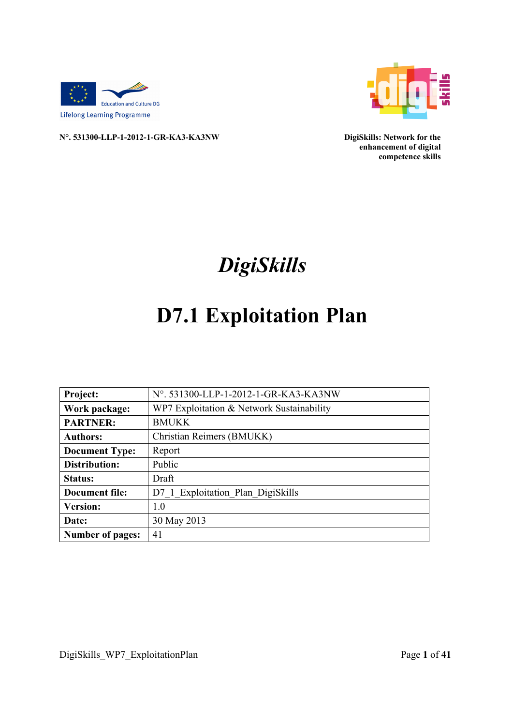



**N°. 531300-LLP-1-2012-1-GR-KA3-KA3NW DigiSkills: Network for the** 

**enhancement of digital competence skills**

# *DigiSkills*

# **D7.1 Exploitation Plan**

| <b>Project:</b>         | N°. 531300-LLP-1-2012-1-GR-KA3-KA3NW      |
|-------------------------|-------------------------------------------|
| Work package:           | WP7 Exploitation & Network Sustainability |
| <b>PARTNER:</b>         | <b>BMUKK</b>                              |
| <b>Authors:</b>         | Christian Reimers (BMUKK)                 |
| <b>Document Type:</b>   | Report                                    |
| Distribution:           | Public                                    |
| Status:                 | Draft                                     |
| <b>Document file:</b>   | D7 1 Exploitation Plan DigiSkills         |
| <b>Version:</b>         | 1.0                                       |
| Date:                   | 30 May 2013                               |
| <b>Number of pages:</b> | 41                                        |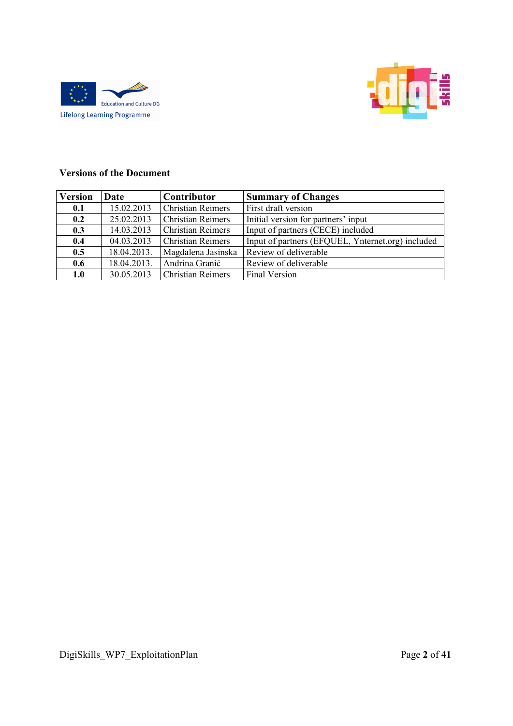



#### **Versions of the Document**

| <b>Version</b> | Date        | Contributor              | <b>Summary of Changes</b>                         |  |
|----------------|-------------|--------------------------|---------------------------------------------------|--|
| 0.1            | 15.02.2013  | <b>Christian Reimers</b> | First draft version                               |  |
| 0.2            | 25.02.2013  | <b>Christian Reimers</b> | Initial version for partners' input               |  |
| 0.3            | 14.03.2013  | <b>Christian Reimers</b> | Input of partners (CECE) included                 |  |
| 0.4            | 04.03.2013  | <b>Christian Reimers</b> | Input of partners (EFQUEL, Ynternet.org) included |  |
| 0.5            | 18.04.2013. | Magdalena Jasinska       | Review of deliverable                             |  |
| 0.6            | 18.04.2013. | Andrina Granić           | Review of deliverable                             |  |
| 1.0            | 30.05.2013  | <b>Christian Reimers</b> | Final Version                                     |  |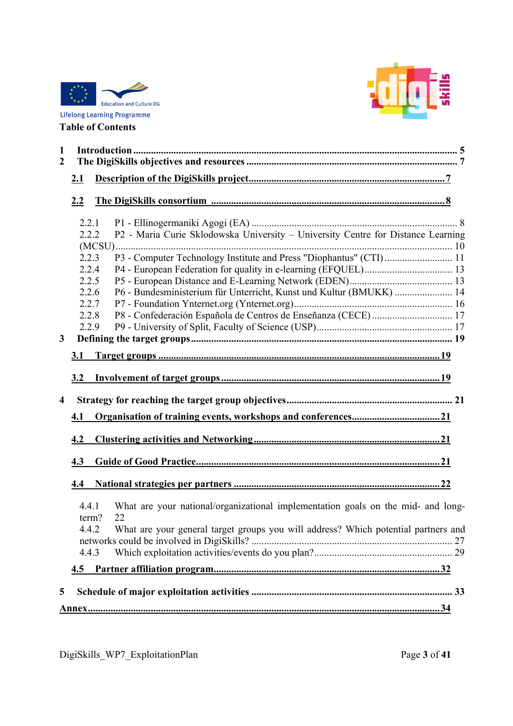



| $\mathbf{1}$<br>$\overline{2}$ |                |                                                                                        |  |
|--------------------------------|----------------|----------------------------------------------------------------------------------------|--|
|                                | 2.1            |                                                                                        |  |
|                                | 2.2            |                                                                                        |  |
|                                | 2.2.1<br>2.2.2 |                                                                                        |  |
|                                |                | P2 - Maria Curie Sklodowska University - University Centre for Distance Learning       |  |
|                                | 2.2.3          | P3 - Computer Technology Institute and Press "Diophantus" (CTI) 11                     |  |
|                                | 2.2.4          |                                                                                        |  |
|                                | 2.2.5          |                                                                                        |  |
|                                | 2.2.6          | P6 - Bundesministerium für Unterricht, Kunst und Kultur (BMUKK)  14                    |  |
|                                | 2.2.7          |                                                                                        |  |
|                                | 2.2.8          |                                                                                        |  |
|                                | 2.2.9          |                                                                                        |  |
| $\mathbf{3}$                   |                |                                                                                        |  |
|                                | 3.1            |                                                                                        |  |
|                                | 3.2            |                                                                                        |  |
| $\overline{\mathbf{4}}$        |                |                                                                                        |  |
|                                | 4.1            |                                                                                        |  |
|                                | 4.2            |                                                                                        |  |
|                                | 4.3            |                                                                                        |  |
|                                | 4.4            |                                                                                        |  |
|                                | 4.4.1<br>term? | What are your national/organizational implementation goals on the mid- and long-<br>22 |  |
|                                | 4.4.2          | What are your general target groups you will address? Which potential partners and     |  |
|                                |                |                                                                                        |  |
|                                | 4.4.3          |                                                                                        |  |
|                                | 4.5            |                                                                                        |  |
| 5                              |                |                                                                                        |  |
|                                |                |                                                                                        |  |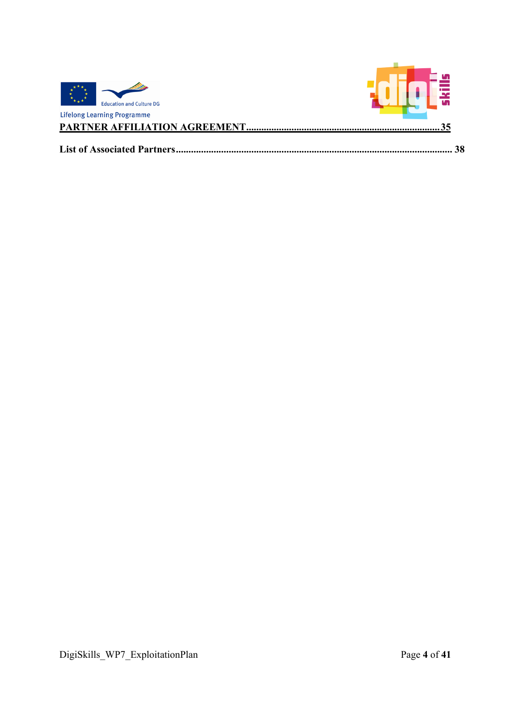| <b>Education and Culture DG</b>      |    |
|--------------------------------------|----|
| <b>Lifelong Learning Programme</b>   |    |
| <b>PARTNER AFFILIATION AGREEMENT</b> |    |
| <b>List of Associated Partners.</b>  | 38 |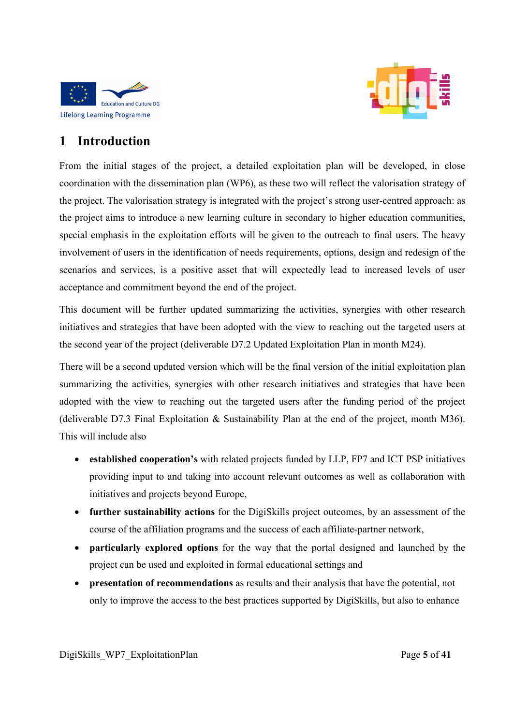



# **1 Introduction**

From the initial stages of the project, a detailed exploitation plan will be developed, in close coordination with the dissemination plan (WP6), as these two will reflect the valorisation strategy of the project. The valorisation strategy is integrated with the project's strong user-centred approach: as the project aims to introduce a new learning culture in secondary to higher education communities, special emphasis in the exploitation efforts will be given to the outreach to final users. The heavy involvement of users in the identification of needs requirements, options, design and redesign of the scenarios and services, is a positive asset that will expectedly lead to increased levels of user acceptance and commitment beyond the end of the project.

This document will be further updated summarizing the activities, synergies with other research initiatives and strategies that have been adopted with the view to reaching out the targeted users at the second year of the project (deliverable D7.2 Updated Exploitation Plan in month M24).

There will be a second updated version which will be the final version of the initial exploitation plan summarizing the activities, synergies with other research initiatives and strategies that have been adopted with the view to reaching out the targeted users after the funding period of the project (deliverable D7.3 Final Exploitation & Sustainability Plan at the end of the project, month M36). This will include also

- **established cooperation's** with related projects funded by LLP, FP7 and ICT PSP initiatives providing input to and taking into account relevant outcomes as well as collaboration with initiatives and projects beyond Europe,
- **further sustainability actions** for the DigiSkills project outcomes, by an assessment of the course of the affiliation programs and the success of each affiliate-partner network,
- **particularly explored options** for the way that the portal designed and launched by the project can be used and exploited in formal educational settings and
- **presentation of recommendations** as results and their analysis that have the potential, not only to improve the access to the best practices supported by DigiSkills, but also to enhance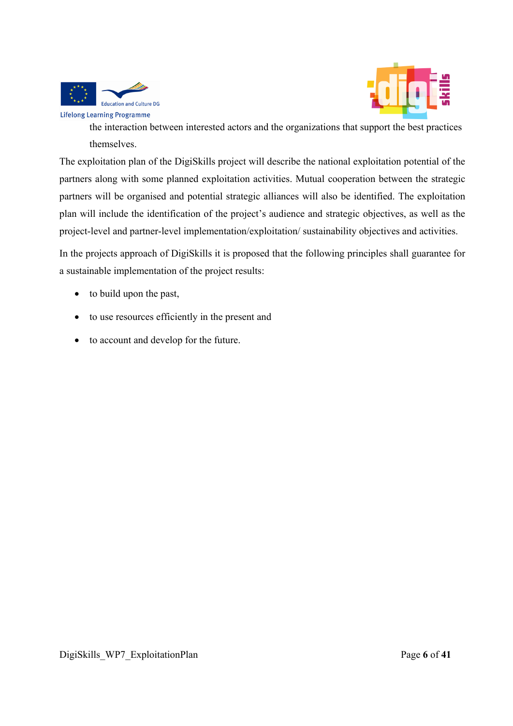



the interaction between interested actors and the organizations that support the best practices themselves.

The exploitation plan of the DigiSkills project will describe the national exploitation potential of the partners along with some planned exploitation activities. Mutual cooperation between the strategic partners will be organised and potential strategic alliances will also be identified. The exploitation plan will include the identification of the project's audience and strategic objectives, as well as the project-level and partner-level implementation/exploitation/ sustainability objectives and activities.

In the projects approach of DigiSkills it is proposed that the following principles shall guarantee for a sustainable implementation of the project results:

- to build upon the past,
- to use resources efficiently in the present and
- to account and develop for the future.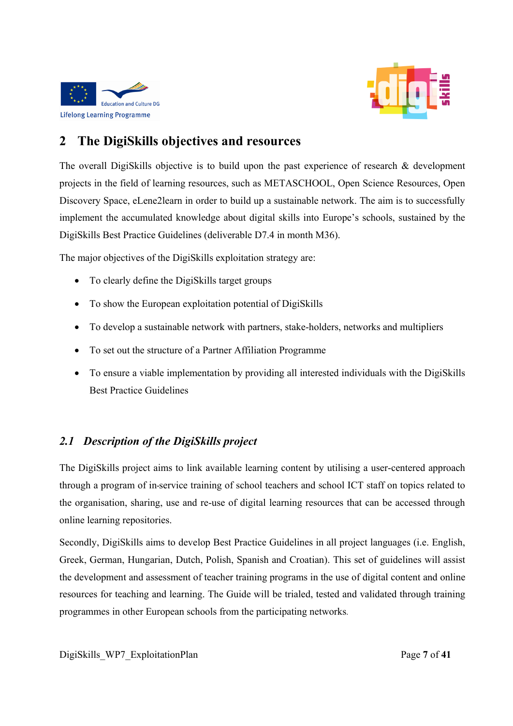



# **2 The DigiSkills objectives and resources**

The overall DigiSkills objective is to build upon the past experience of research & development projects in the field of learning resources, such as METASCHOOL, Open Science Resources, Open Discovery Space, eLene2learn in order to build up a sustainable network. The aim is to successfully implement the accumulated knowledge about digital skills into Europe's schools, sustained by the DigiSkills Best Practice Guidelines (deliverable D7.4 in month M36).

The major objectives of the DigiSkills exploitation strategy are:

- To clearly define the DigiSkills target groups
- To show the European exploitation potential of DigiSkills
- To develop a sustainable network with partners, stake-holders, networks and multipliers
- To set out the structure of a Partner Affiliation Programme
- To ensure a viable implementation by providing all interested individuals with the DigiSkills Best Practice Guidelines

## *2.1 Description of the DigiSkills project*

The DigiSkills project aims to link available learning content by utilising a user-centered approach through a program of in-service training of school teachers and school ICT staff on topics related to the organisation, sharing, use and re-use of digital learning resources that can be accessed through online learning repositories.

Secondly, DigiSkills aims to develop Best Practice Guidelines in all project languages (i.e. English, Greek, German, Hungarian, Dutch, Polish, Spanish and Croatian). This set of guidelines will assist the development and assessment of teacher training programs in the use of digital content and online resources for teaching and learning. The Guide will be trialed, tested and validated through training programmes in other European schools from the participating networks.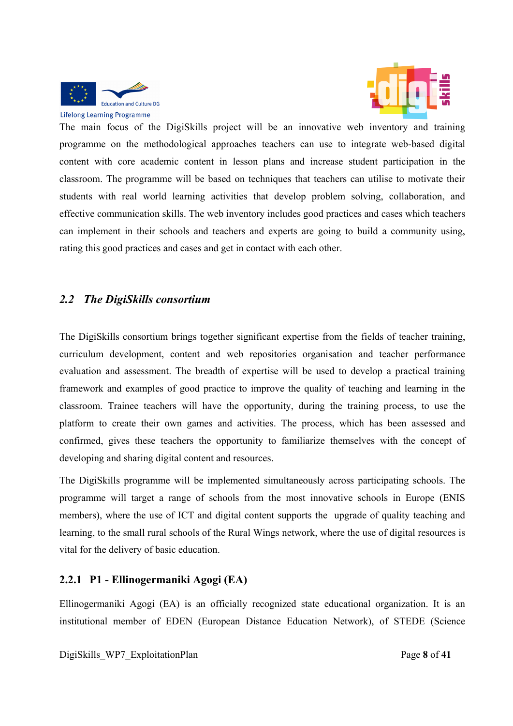



The main focus of the DigiSkills project will be an innovative web inventory and training programme on the methodological approaches teachers can use to integrate web-based digital content with core academic content in lesson plans and increase student participation in the classroom. The programme will be based on techniques that teachers can utilise to motivate their students with real world learning activities that develop problem solving, collaboration, and effective communication skills. The web inventory includes good practices and cases which teachers can implement in their schools and teachers and experts are going to build a community using, rating this good practices and cases and get in contact with each other.

## *2.2 The DigiSkills consortium*

The DigiSkills consortium brings together significant expertise from the fields of teacher training, curriculum development, content and web repositories organisation and teacher performance evaluation and assessment. The breadth of expertise will be used to develop a practical training framework and examples of good practice to improve the quality of teaching and learning in the classroom. Trainee teachers will have the opportunity, during the training process, to use the platform to create their own games and activities. The process, which has been assessed and confirmed, gives these teachers the opportunity to familiarize themselves with the concept of developing and sharing digital content and resources.

The DigiSkills programme will be implemented simultaneously across participating schools. The programme will target a range of schools from the most innovative schools in Europe (ENIS members), where the use of ICT and digital content supports the upgrade of quality teaching and learning, to the small rural schools of the Rural Wings network, where the use of digital resources is vital for the delivery of basic education.

## **2.2.1 P1 - Ellinogermaniki Agogi (EA)**

Ellinogermaniki Agogi (EA) is an officially recognized state educational organization. It is an institutional member of EDEN (European Distance Education Network), of STEDE (Science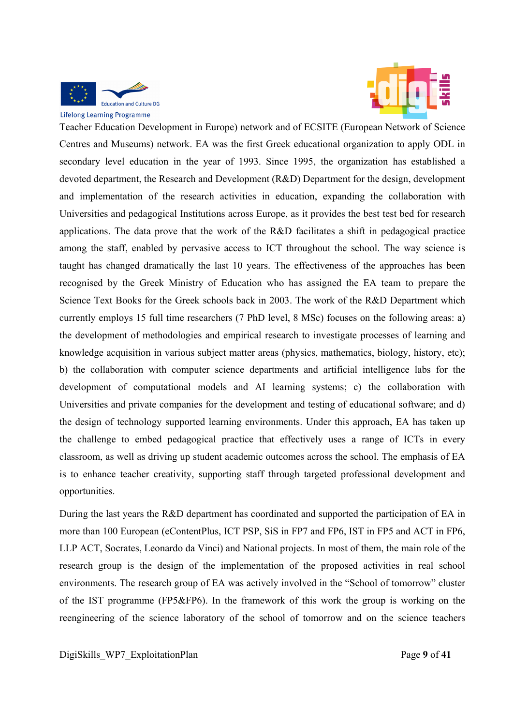



Teacher Education Development in Europe) network and of ECSITE (European Network of Science Centres and Museums) network. EA was the first Greek educational organization to apply ODL in secondary level education in the year of 1993. Since 1995, the organization has established a devoted department, the Research and Development (R&D) Department for the design, development and implementation of the research activities in education, expanding the collaboration with Universities and pedagogical Institutions across Europe, as it provides the best test bed for research applications. The data prove that the work of the R&D facilitates a shift in pedagogical practice among the staff, enabled by pervasive access to ICT throughout the school. The way science is taught has changed dramatically the last 10 years. The effectiveness of the approaches has been recognised by the Greek Ministry of Education who has assigned the EA team to prepare the Science Text Books for the Greek schools back in 2003. The work of the R&D Department which currently employs 15 full time researchers (7 PhD level, 8 MSc) focuses on the following areas: a) the development of methodologies and empirical research to investigate processes of learning and knowledge acquisition in various subject matter areas (physics, mathematics, biology, history, etc); b) the collaboration with computer science departments and artificial intelligence labs for the development of computational models and AI learning systems; c) the collaboration with Universities and private companies for the development and testing of educational software; and d) the design of technology supported learning environments. Under this approach, EA has taken up the challenge to embed pedagogical practice that effectively uses a range of ICTs in every classroom, as well as driving up student academic outcomes across the school. The emphasis of EA is to enhance teacher creativity, supporting staff through targeted professional development and opportunities.

During the last years the R&D department has coordinated and supported the participation of EA in more than 100 European (eContentPlus, ICT PSP, SiS in FP7 and FP6, IST in FP5 and ACT in FP6, LLP ACT, Socrates, Leonardo da Vinci) and National projects. In most of them, the main role of the research group is the design of the implementation of the proposed activities in real school environments. The research group of EA was actively involved in the "School of tomorrow" cluster of the IST programme (FP5&FP6). In the framework of this work the group is working on the reengineering of the science laboratory of the school of tomorrow and on the science teachers

DigiSkills\_WP7\_ExploitationPlan Page **9** of **41**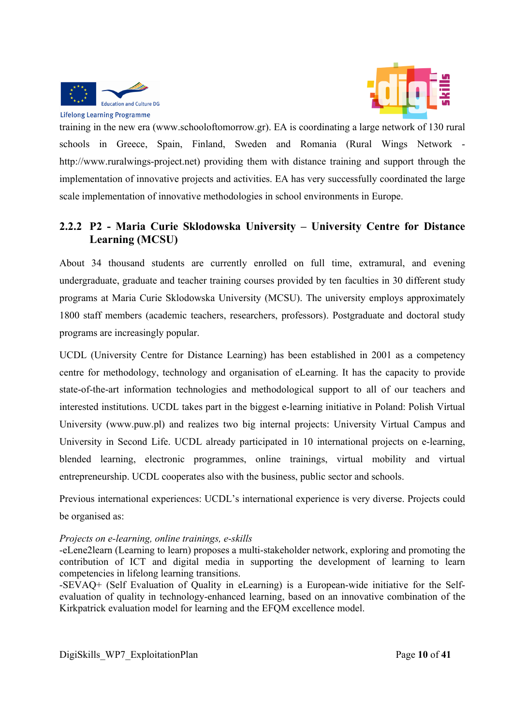



training in the new era (www.schooloftomorrow.gr). EA is coordinating a large network of 130 rural schools in Greece, Spain, Finland, Sweden and Romania (Rural Wings Network http://www.ruralwings-project.net) providing them with distance training and support through the implementation of innovative projects and activities. EA has very successfully coordinated the large scale implementation of innovative methodologies in school environments in Europe.

## **2.2.2 P2 - Maria Curie Sklodowska University – University Centre for Distance Learning (MCSU)**

About 34 thousand students are currently enrolled on full time, extramural, and evening undergraduate, graduate and teacher training courses provided by ten faculties in 30 different study programs at Maria Curie Sklodowska University (MCSU). The university employs approximately 1800 staff members (academic teachers, researchers, professors). Postgraduate and doctoral study programs are increasingly popular.

UCDL (University Centre for Distance Learning) has been established in 2001 as a competency centre for methodology, technology and organisation of eLearning. It has the capacity to provide state-of-the-art information technologies and methodological support to all of our teachers and interested institutions. UCDL takes part in the biggest e-learning initiative in Poland: Polish Virtual University (www.puw.pl) and realizes two big internal projects: University Virtual Campus and University in Second Life. UCDL already participated in 10 international projects on e-learning, blended learning, electronic programmes, online trainings, virtual mobility and virtual entrepreneurship. UCDL cooperates also with the business, public sector and schools.

Previous international experiences: UCDL's international experience is very diverse. Projects could be organised as:

#### *Projects on e-learning, online trainings, e-skills*

-eLene2learn (Learning to learn) proposes a multi-stakeholder network, exploring and promoting the contribution of ICT and digital media in supporting the development of learning to learn competencies in lifelong learning transitions.

-SEVAQ+ (Self Evaluation of Quality in eLearning) is a European-wide initiative for the Selfevaluation of quality in technology-enhanced learning, based on an innovative combination of the Kirkpatrick evaluation model for learning and the EFQM excellence model.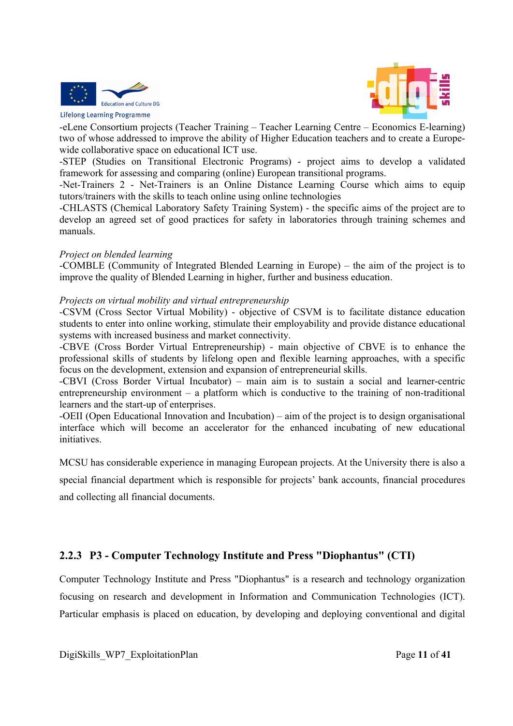



-eLene Consortium projects (Teacher Training – Teacher Learning Centre – Economics E-learning) two of whose addressed to improve the ability of Higher Education teachers and to create a Europewide collaborative space on educational ICT use.

-STEP (Studies on Transitional Electronic Programs) - project aims to develop a validated framework for assessing and comparing (online) European transitional programs.

-Net-Trainers 2 - Net-Trainers is an Online Distance Learning Course which aims to equip tutors/trainers with the skills to teach online using online technologies

-CHLASTS (Chemical Laboratory Safety Training System) - the specific aims of the project are to develop an agreed set of good practices for safety in laboratories through training schemes and manuals.

#### *Project on blended learning*

-COMBLE (Community of Integrated Blended Learning in Europe) – the aim of the project is to improve the quality of Blended Learning in higher, further and business education.

#### *Projects on virtual mobility and virtual entrepreneurship*

-CSVM (Cross Sector Virtual Mobility) - objective of CSVM is to facilitate distance education students to enter into online working, stimulate their employability and provide distance educational systems with increased business and market connectivity.

-CBVE (Cross Border Virtual Entrepreneurship) - main objective of CBVE is to enhance the professional skills of students by lifelong open and flexible learning approaches, with a specific focus on the development, extension and expansion of entrepreneurial skills.

-CBVI (Cross Border Virtual Incubator) – main aim is to sustain a social and learner-centric entrepreneurship environment – a platform which is conductive to the training of non-traditional learners and the start-up of enterprises.

-OEII (Open Educational Innovation and Incubation) – aim of the project is to design organisational interface which will become an accelerator for the enhanced incubating of new educational initiatives.

MCSU has considerable experience in managing European projects. At the University there is also a

special financial department which is responsible for projects' bank accounts, financial procedures and collecting all financial documents.

## **2.2.3 P3 - Computer Technology Institute and Press "Diophantus" (CTI)**

Computer Technology Institute and Press "Diophantus" is a research and technology organization focusing on research and development in Information and Communication Technologies (ICT). Particular emphasis is placed on education, by developing and deploying conventional and digital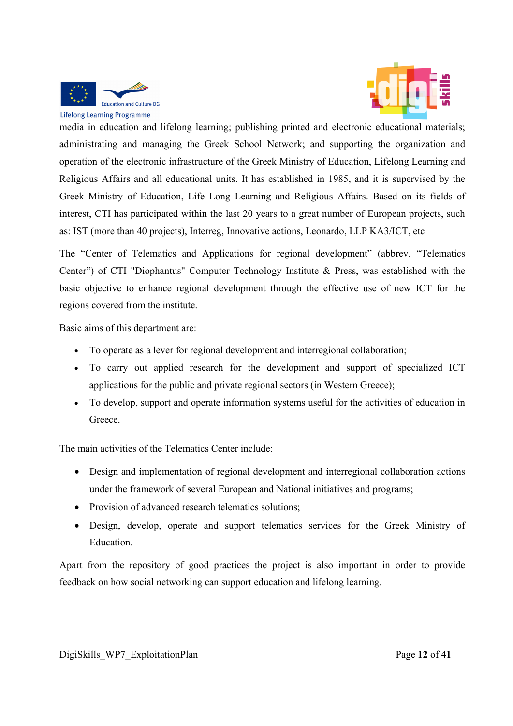

media in education and lifelong learning; publishing printed and electronic educational materials; administrating and managing the Greek School Network; and supporting the organization and operation of the electronic infrastructure of the Greek Ministry of Education, Lifelong Learning and Religious Affairs and all educational units. It has established in 1985, and it is supervised by the Greek Ministry of Education, Life Long Learning and Religious Affairs. Based on its fields of interest, CTI has participated within the last 20 years to a great number of European projects, such as: IST (more than 40 projects), Interreg, Innovative actions, Leonardo, LLP KA3/ICT, etc

The "Center of Telematics and Applications for regional development" (abbrev. "Telematics Center") of CTI "Diophantus" Computer Technology Institute & Press, was established with the basic objective to enhance regional development through the effective use of new ICT for the regions covered from the institute.

Basic aims of this department are:

- To operate as a lever for regional development and interregional collaboration;
- To carry out applied research for the development and support of specialized ICT applications for the public and private regional sectors (in Western Greece);
- To develop, support and operate information systems useful for the activities of education in **Greece**

The main activities of the Telematics Center include:

- Design and implementation of regional development and interregional collaboration actions under the framework of several European and National initiatives and programs;
- Provision of advanced research telematics solutions;
- Design, develop, operate and support telematics services for the Greek Ministry of Education.

Apart from the repository of good practices the project is also important in order to provide feedback on how social networking can support education and lifelong learning.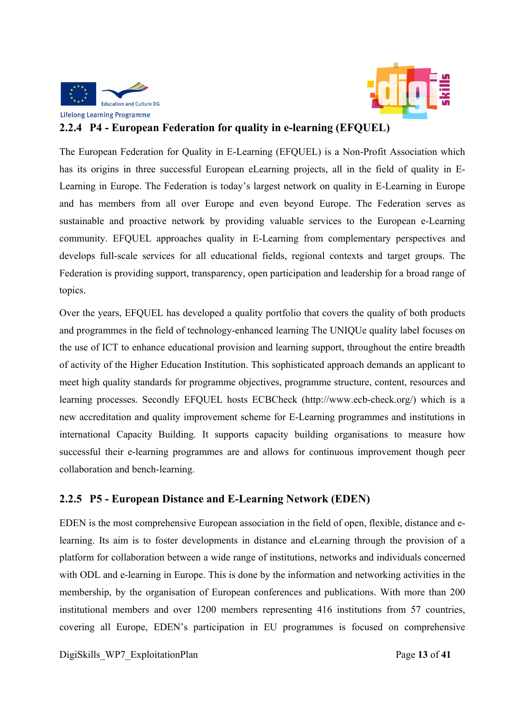



## **2.2.4 P4 - European Federation for quality in e-learning (EFQUEL)**

The European Federation for Quality in E-Learning (EFQUEL) is a Non-Profit Association which has its origins in three successful European eLearning projects, all in the field of quality in E-Learning in Europe. The Federation is today's largest network on quality in E-Learning in Europe and has members from all over Europe and even beyond Europe. The Federation serves as sustainable and proactive network by providing valuable services to the European e-Learning community. EFQUEL approaches quality in E-Learning from complementary perspectives and develops full-scale services for all educational fields, regional contexts and target groups. The Federation is providing support, transparency, open participation and leadership for a broad range of topics.

Over the years, EFQUEL has developed a quality portfolio that covers the quality of both products and programmes in the field of technology-enhanced learning The UNIQUe quality label focuses on the use of ICT to enhance educational provision and learning support, throughout the entire breadth of activity of the Higher Education Institution. This sophisticated approach demands an applicant to meet high quality standards for programme objectives, programme structure, content, resources and learning processes. Secondly EFQUEL hosts ECBCheck (http://www.ecb-check.org/) which is a new accreditation and quality improvement scheme for E-Learning programmes and institutions in international Capacity Building. It supports capacity building organisations to measure how successful their e-learning programmes are and allows for continuous improvement though peer collaboration and bench-learning.

## **2.2.5 P5 - European Distance and E-Learning Network (EDEN)**

EDEN is the most comprehensive European association in the field of open, flexible, distance and elearning. Its aim is to foster developments in distance and eLearning through the provision of a platform for collaboration between a wide range of institutions, networks and individuals concerned with ODL and e-learning in Europe. This is done by the information and networking activities in the membership, by the organisation of European conferences and publications. With more than 200 institutional members and over 1200 members representing 416 institutions from 57 countries, covering all Europe, EDEN's participation in EU programmes is focused on comprehensive

DigiSkills\_WP7\_ExploitationPlan Page **13** of **41**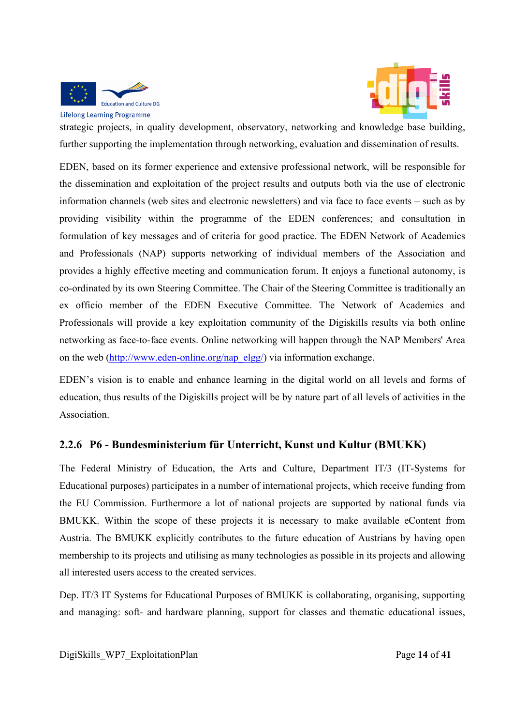

**Lifelong Learning Programme** 



strategic projects, in quality development, observatory, networking and knowledge base building, further supporting the implementation through networking, evaluation and dissemination of results.

EDEN, based on its former experience and extensive professional network, will be responsible for the dissemination and exploitation of the project results and outputs both via the use of electronic information channels (web sites and electronic newsletters) and via face to face events – such as by providing visibility within the programme of the EDEN conferences; and consultation in formulation of key messages and of criteria for good practice. The EDEN Network of Academics and Professionals (NAP) supports networking of individual members of the Association and provides a highly effective meeting and communication forum. It enjoys a functional autonomy, is co-ordinated by its own Steering Committee. The Chair of the Steering Committee is traditionally an ex officio member of the EDEN Executive Committee. The Network of Academics and Professionals will provide a key exploitation community of the Digiskills results via both online networking as face-to-face events. Online networking will happen through the NAP Members' Area on the web (http://www.eden-online.org/nap\_elgg/) via information exchange.

EDEN's vision is to enable and enhance learning in the digital world on all levels and forms of education, thus results of the Digiskills project will be by nature part of all levels of activities in the Association.

## **2.2.6 P6 - Bundesministerium für Unterricht, Kunst und Kultur (BMUKK)**

The Federal Ministry of Education, the Arts and Culture, Department IT/3 (IT-Systems for Educational purposes) participates in a number of international projects, which receive funding from the EU Commission. Furthermore a lot of national projects are supported by national funds via BMUKK. Within the scope of these projects it is necessary to make available eContent from Austria. The BMUKK explicitly contributes to the future education of Austrians by having open membership to its projects and utilising as many technologies as possible in its projects and allowing all interested users access to the created services.

Dep. IT/3 IT Systems for Educational Purposes of BMUKK is collaborating, organising, supporting and managing: soft- and hardware planning, support for classes and thematic educational issues,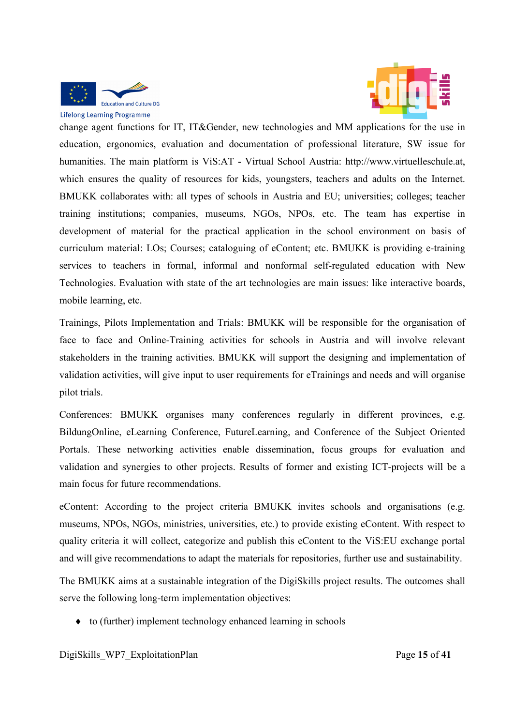



change agent functions for IT, IT&Gender, new technologies and MM applications for the use in education, ergonomics, evaluation and documentation of professional literature, SW issue for humanities. The main platform is ViS:AT - Virtual School Austria: http://www.virtuelleschule.at, which ensures the quality of resources for kids, youngsters, teachers and adults on the Internet. BMUKK collaborates with: all types of schools in Austria and EU; universities; colleges; teacher training institutions; companies, museums, NGOs, NPOs, etc. The team has expertise in development of material for the practical application in the school environment on basis of curriculum material: LOs; Courses; cataloguing of eContent; etc. BMUKK is providing e-training services to teachers in formal, informal and nonformal self-regulated education with New Technologies. Evaluation with state of the art technologies are main issues: like interactive boards, mobile learning, etc.

Trainings, Pilots Implementation and Trials: BMUKK will be responsible for the organisation of face to face and Online-Training activities for schools in Austria and will involve relevant stakeholders in the training activities. BMUKK will support the designing and implementation of validation activities, will give input to user requirements for eTrainings and needs and will organise pilot trials.

Conferences: BMUKK organises many conferences regularly in different provinces, e.g. BildungOnline, eLearning Conference, FutureLearning, and Conference of the Subject Oriented Portals. These networking activities enable dissemination, focus groups for evaluation and validation and synergies to other projects. Results of former and existing ICT-projects will be a main focus for future recommendations.

eContent: According to the project criteria BMUKK invites schools and organisations (e.g. museums, NPOs, NGOs, ministries, universities, etc.) to provide existing eContent. With respect to quality criteria it will collect, categorize and publish this eContent to the ViS:EU exchange portal and will give recommendations to adapt the materials for repositories, further use and sustainability.

The BMUKK aims at a sustainable integration of the DigiSkills project results. The outcomes shall serve the following long-term implementation objectives:

 $\bullet$  to (further) implement technology enhanced learning in schools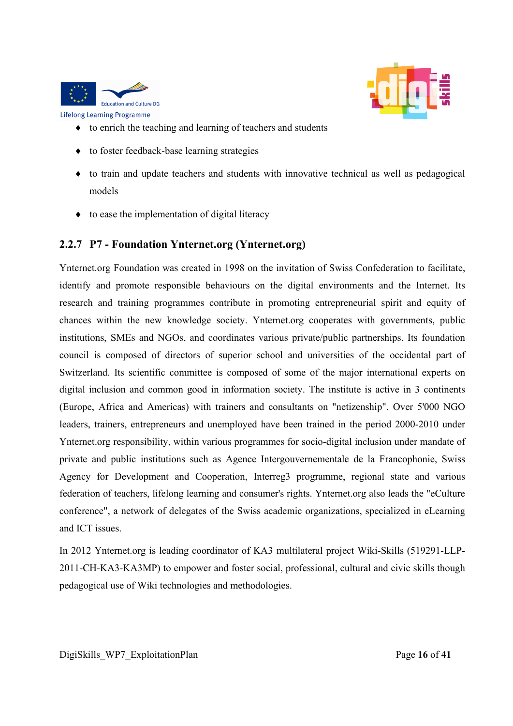



- $\bullet$  to enrich the teaching and learning of teachers and students
- ◆ to foster feedback-base learning strategies
- to train and update teachers and students with innovative technical as well as pedagogical models
- $\bullet$  to ease the implementation of digital literacy

## **2.2.7 P7 - Foundation Ynternet.org (Ynternet.org)**

Ynternet.org Foundation was created in 1998 on the invitation of Swiss Confederation to facilitate, identify and promote responsible behaviours on the digital environments and the Internet. Its research and training programmes contribute in promoting entrepreneurial spirit and equity of chances within the new knowledge society. Ynternet.org cooperates with governments, public institutions, SMEs and NGOs, and coordinates various private/public partnerships. Its foundation council is composed of directors of superior school and universities of the occidental part of Switzerland. Its scientific committee is composed of some of the major international experts on digital inclusion and common good in information society. The institute is active in 3 continents (Europe, Africa and Americas) with trainers and consultants on "netizenship". Over 5'000 NGO leaders, trainers, entrepreneurs and unemployed have been trained in the period 2000-2010 under Ynternet.org responsibility, within various programmes for socio-digital inclusion under mandate of private and public institutions such as Agence Intergouvernementale de la Francophonie, Swiss Agency for Development and Cooperation, Interreg3 programme, regional state and various federation of teachers, lifelong learning and consumer's rights. Ynternet.org also leads the "eCulture conference", a network of delegates of the Swiss academic organizations, specialized in eLearning and ICT issues.

In 2012 Ynternet.org is leading coordinator of KA3 multilateral project Wiki-Skills (519291-LLP-2011-CH-KA3-KA3MP) to empower and foster social, professional, cultural and civic skills though pedagogical use of Wiki technologies and methodologies.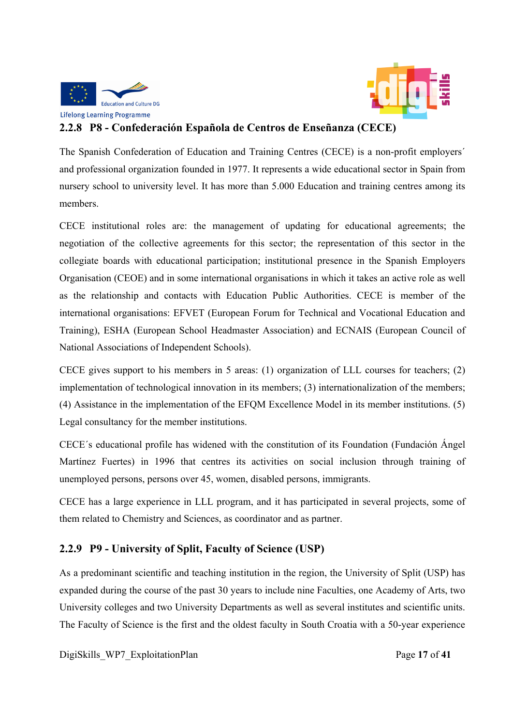



## **2.2.8 P8 - Confederación Española de Centros de Enseñanza (CECE)**

The Spanish Confederation of Education and Training Centres (CECE) is a non-profit employers´ and professional organization founded in 1977. It represents a wide educational sector in Spain from nursery school to university level. It has more than 5.000 Education and training centres among its members.

CECE institutional roles are: the management of updating for educational agreements; the negotiation of the collective agreements for this sector; the representation of this sector in the collegiate boards with educational participation; institutional presence in the Spanish Employers Organisation (CEOE) and in some international organisations in which it takes an active role as well as the relationship and contacts with Education Public Authorities. CECE is member of the international organisations: EFVET (European Forum for Technical and Vocational Education and Training), ESHA (European School Headmaster Association) and ECNAIS (European Council of National Associations of Independent Schools).

CECE gives support to his members in 5 areas: (1) organization of LLL courses for teachers; (2) implementation of technological innovation in its members; (3) internationalization of the members; (4) Assistance in the implementation of the EFQM Excellence Model in its member institutions. (5) Legal consultancy for the member institutions.

CECE´s educational profile has widened with the constitution of its Foundation (Fundación Ángel Martínez Fuertes) in 1996 that centres its activities on social inclusion through training of unemployed persons, persons over 45, women, disabled persons, immigrants.

CECE has a large experience in LLL program, and it has participated in several projects, some of them related to Chemistry and Sciences, as coordinator and as partner.

# **2.2.9 P9 - University of Split, Faculty of Science (USP)**

As a predominant scientific and teaching institution in the region, the University of Split (USP) has expanded during the course of the past 30 years to include nine Faculties, one Academy of Arts, two University colleges and two University Departments as well as several institutes and scientific units. The Faculty of Science is the first and the oldest faculty in South Croatia with a 50-year experience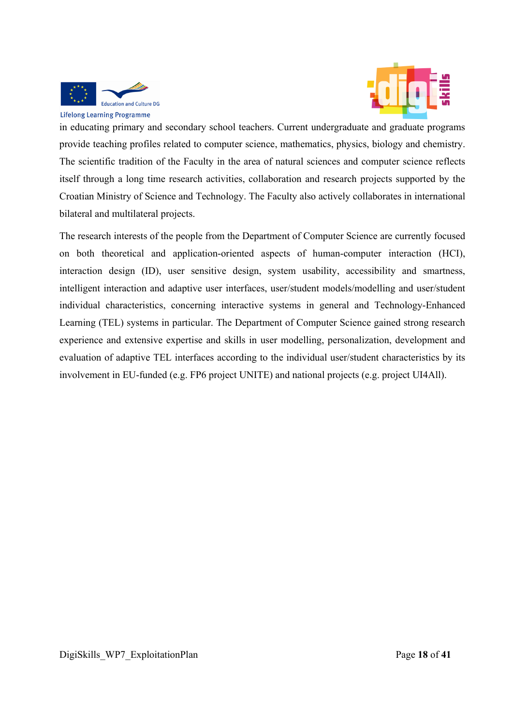

in educating primary and secondary school teachers. Current undergraduate and graduate programs provide teaching profiles related to computer science, mathematics, physics, biology and chemistry. The scientific tradition of the Faculty in the area of natural sciences and computer science reflects itself through a long time research activities, collaboration and research projects supported by the Croatian Ministry of Science and Technology. The Faculty also actively collaborates in international bilateral and multilateral projects.

The research interests of the people from the Department of Computer Science are currently focused on both theoretical and application-oriented aspects of human-computer interaction (HCI), interaction design (ID), user sensitive design, system usability, accessibility and smartness, intelligent interaction and adaptive user interfaces, user/student models/modelling and user/student individual characteristics, concerning interactive systems in general and Technology-Enhanced Learning (TEL) systems in particular. The Department of Computer Science gained strong research experience and extensive expertise and skills in user modelling, personalization, development and evaluation of adaptive TEL interfaces according to the individual user/student characteristics by its involvement in EU-funded (e.g. FP6 project UNITE) and national projects (e.g. project UI4All).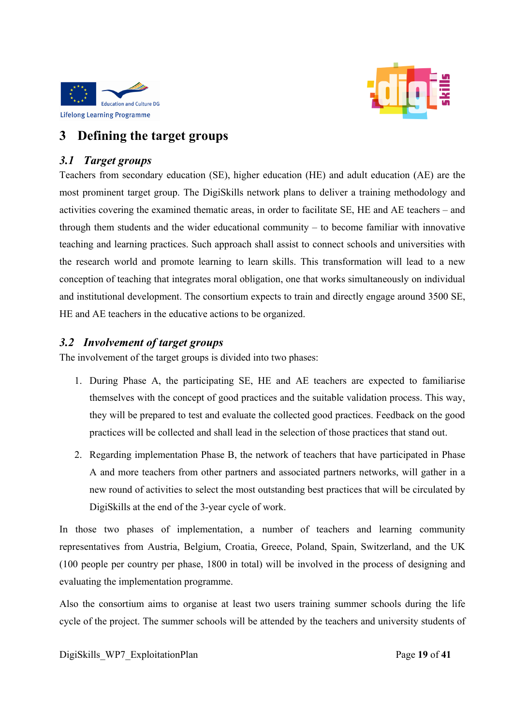



# **3 Defining the target groups**

## *3.1 Target groups*

Teachers from secondary education (SE), higher education (HE) and adult education (AE) are the most prominent target group. The DigiSkills network plans to deliver a training methodology and activities covering the examined thematic areas, in order to facilitate SE, HE and AE teachers – and through them students and the wider educational community – to become familiar with innovative teaching and learning practices. Such approach shall assist to connect schools and universities with the research world and promote learning to learn skills. This transformation will lead to a new conception of teaching that integrates moral obligation, one that works simultaneously on individual and institutional development. The consortium expects to train and directly engage around 3500 SE, HE and AE teachers in the educative actions to be organized.

## *3.2 Involvement of target groups*

The involvement of the target groups is divided into two phases:

- 1. During Phase A, the participating SE, HE and AE teachers are expected to familiarise themselves with the concept of good practices and the suitable validation process. This way, they will be prepared to test and evaluate the collected good practices. Feedback on the good practices will be collected and shall lead in the selection of those practices that stand out.
- 2. Regarding implementation Phase B, the network of teachers that have participated in Phase A and more teachers from other partners and associated partners networks, will gather in a new round of activities to select the most outstanding best practices that will be circulated by DigiSkills at the end of the 3-year cycle of work.

In those two phases of implementation, a number of teachers and learning community representatives from Austria, Belgium, Croatia, Greece, Poland, Spain, Switzerland, and the UK (100 people per country per phase, 1800 in total) will be involved in the process of designing and evaluating the implementation programme.

Also the consortium aims to organise at least two users training summer schools during the life cycle of the project. The summer schools will be attended by the teachers and university students of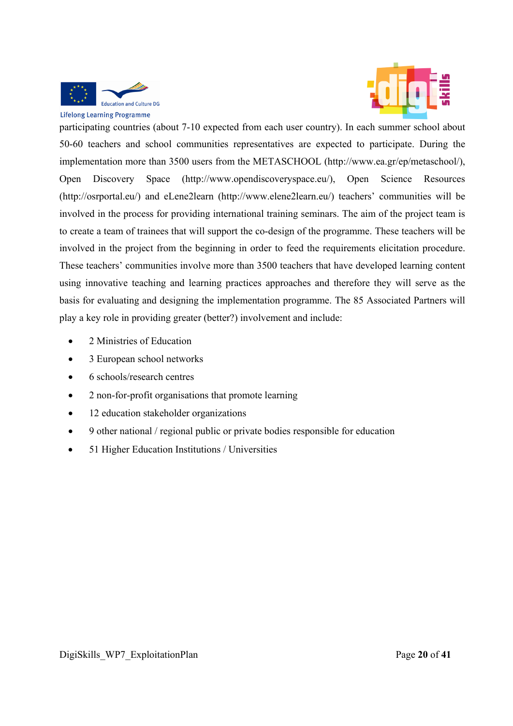



participating countries (about 7-10 expected from each user country). In each summer school about 50-60 teachers and school communities representatives are expected to participate. During the implementation more than 3500 users from the METASCHOOL (http://www.ea.gr/ep/metaschool/), Open Discovery Space (http://www.opendiscoveryspace.eu/), Open Science Resources (http://osrportal.eu/) and eLene2learn (http://www.elene2learn.eu/) teachers' communities will be involved in the process for providing international training seminars. The aim of the project team is to create a team of trainees that will support the co-design of the programme. These teachers will be involved in the project from the beginning in order to feed the requirements elicitation procedure. These teachers' communities involve more than 3500 teachers that have developed learning content using innovative teaching and learning practices approaches and therefore they will serve as the basis for evaluating and designing the implementation programme. The 85 Associated Partners will play a key role in providing greater (better?) involvement and include:

- 2 Ministries of Education
- 3 European school networks
- 6 schools/research centres
- 2 non-for-profit organisations that promote learning
- 12 education stakeholder organizations
- 9 other national / regional public or private bodies responsible for education
- 51 Higher Education Institutions / Universities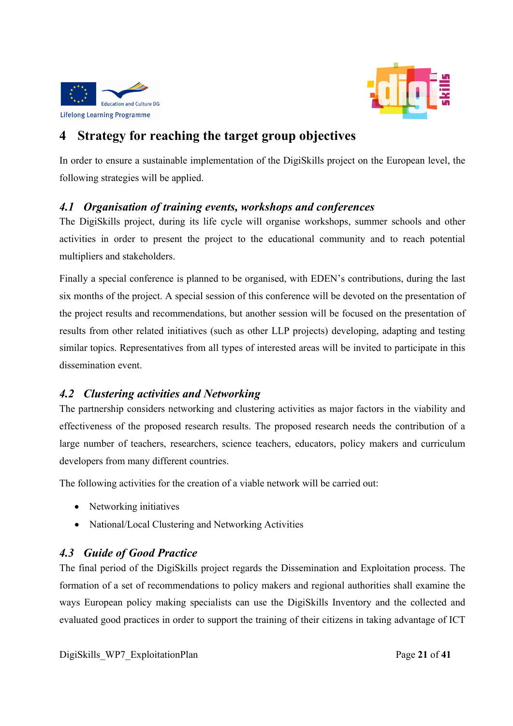



# **4 Strategy for reaching the target group objectives**

In order to ensure a sustainable implementation of the DigiSkills project on the European level, the following strategies will be applied.

## *4.1 Organisation of training events, workshops and conferences*

The DigiSkills project, during its life cycle will organise workshops, summer schools and other activities in order to present the project to the educational community and to reach potential multipliers and stakeholders.

Finally a special conference is planned to be organised, with EDEN's contributions, during the last six months of the project. A special session of this conference will be devoted on the presentation of the project results and recommendations, but another session will be focused on the presentation of results from other related initiatives (such as other LLP projects) developing, adapting and testing similar topics. Representatives from all types of interested areas will be invited to participate in this dissemination event.

## *4.2 Clustering activities and Networking*

The partnership considers networking and clustering activities as major factors in the viability and effectiveness of the proposed research results. The proposed research needs the contribution of a large number of teachers, researchers, science teachers, educators, policy makers and curriculum developers from many different countries.

The following activities for the creation of a viable network will be carried out:

- Networking initiatives
- National/Local Clustering and Networking Activities

# *4.3 Guide of Good Practice*

The final period of the DigiSkills project regards the Dissemination and Exploitation process. The formation of a set of recommendations to policy makers and regional authorities shall examine the ways European policy making specialists can use the DigiSkills Inventory and the collected and evaluated good practices in order to support the training of their citizens in taking advantage of ICT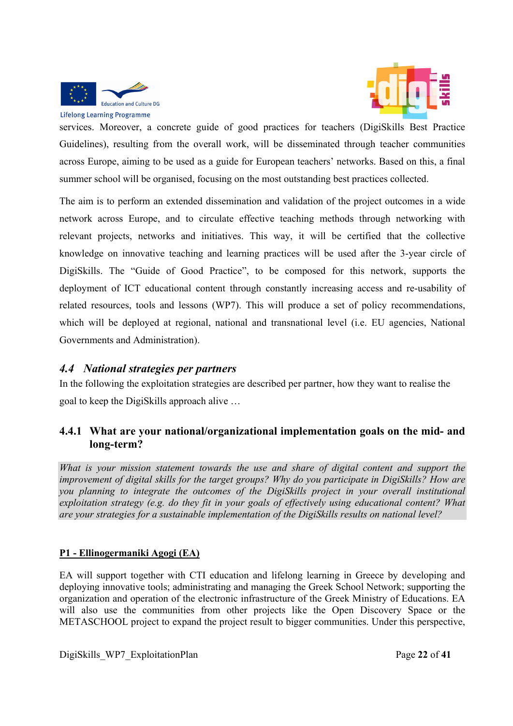

**Lifelong Learning Programme** 

services. Moreover, a concrete guide of good practices for teachers (DigiSkills Best Practice Guidelines), resulting from the overall work, will be disseminated through teacher communities across Europe, aiming to be used as a guide for European teachers' networks. Based on this, a final summer school will be organised, focusing on the most outstanding best practices collected.

The aim is to perform an extended dissemination and validation of the project outcomes in a wide network across Europe, and to circulate effective teaching methods through networking with relevant projects, networks and initiatives. This way, it will be certified that the collective knowledge on innovative teaching and learning practices will be used after the 3-year circle of DigiSkills. The "Guide of Good Practice", to be composed for this network, supports the deployment of ICT educational content through constantly increasing access and re-usability of related resources, tools and lessons (WP7). This will produce a set of policy recommendations, which will be deployed at regional, national and transnational level (i.e. EU agencies, National Governments and Administration).

## *4.4 National strategies per partners*

In the following the exploitation strategies are described per partner, how they want to realise the goal to keep the DigiSkills approach alive …

## **4.4.1 What are your national/organizational implementation goals on the mid- and long-term?**

*What is your mission statement towards the use and share of digital content and support the improvement of digital skills for the target groups? Why do you participate in DigiSkills? How are you planning to integrate the outcomes of the DigiSkills project in your overall institutional exploitation strategy (e.g. do they fit in your goals of effectively using educational content? What are your strategies for a sustainable implementation of the DigiSkills results on national level?* 

## **P1 - Ellinogermaniki Agogi (EA)**

EA will support together with CTI education and lifelong learning in Greece by developing and deploying innovative tools; administrating and managing the Greek School Network; supporting the organization and operation of the electronic infrastructure of the Greek Ministry of Educations. EA will also use the communities from other projects like the Open Discovery Space or the METASCHOOL project to expand the project result to bigger communities. Under this perspective,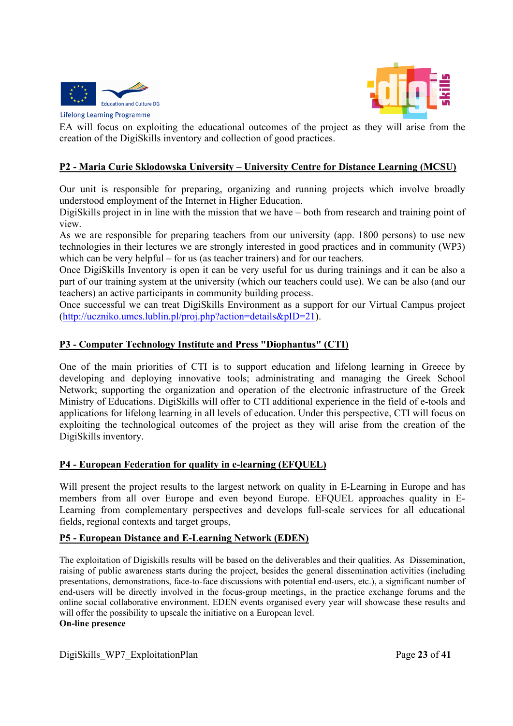



EA will focus on exploiting the educational outcomes of the project as they will arise from the creation of the DigiSkills inventory and collection of good practices.

#### **P2 - Maria Curie Sklodowska University – University Centre for Distance Learning (MCSU)**

Our unit is responsible for preparing, organizing and running projects which involve broadly understood employment of the Internet in Higher Education.

DigiSkills project in in line with the mission that we have – both from research and training point of view.

As we are responsible for preparing teachers from our university (app. 1800 persons) to use new technologies in their lectures we are strongly interested in good practices and in community (WP3) which can be very helpful – for us (as teacher trainers) and for our teachers.

Once DigiSkills Inventory is open it can be very useful for us during trainings and it can be also a part of our training system at the university (which our teachers could use). We can be also (and our teachers) an active participants in community building process.

Once successful we can treat DigiSkills Environment as a support for our Virtual Campus project (http://uczniko.umcs.lublin.pl/proj.php?action=details&pID=21).

#### **P3 - Computer Technology Institute and Press "Diophantus" (CTI)**

One of the main priorities of CTI is to support education and lifelong learning in Greece by developing and deploying innovative tools; administrating and managing the Greek School Network; supporting the organization and operation of the electronic infrastructure of the Greek Ministry of Educations. DigiSkills will offer to CTI additional experience in the field of e-tools and applications for lifelong learning in all levels of education. Under this perspective, CTI will focus on exploiting the technological outcomes of the project as they will arise from the creation of the DigiSkills inventory.

#### **P4 - European Federation for quality in e-learning (EFQUEL)**

Will present the project results to the largest network on quality in E-Learning in Europe and has members from all over Europe and even beyond Europe. EFQUEL approaches quality in E-Learning from complementary perspectives and develops full-scale services for all educational fields, regional contexts and target groups,

#### **P5 - European Distance and E-Learning Network (EDEN)**

The exploitation of Digiskills results will be based on the deliverables and their qualities. As Dissemination, raising of public awareness starts during the project, besides the general dissemination activities (including presentations, demonstrations, face-to-face discussions with potential end-users, etc.), a significant number of end-users will be directly involved in the focus-group meetings, in the practice exchange forums and the online social collaborative environment. EDEN events organised every year will showcase these results and will offer the possibility to upscale the initiative on a European level. **On-line presence**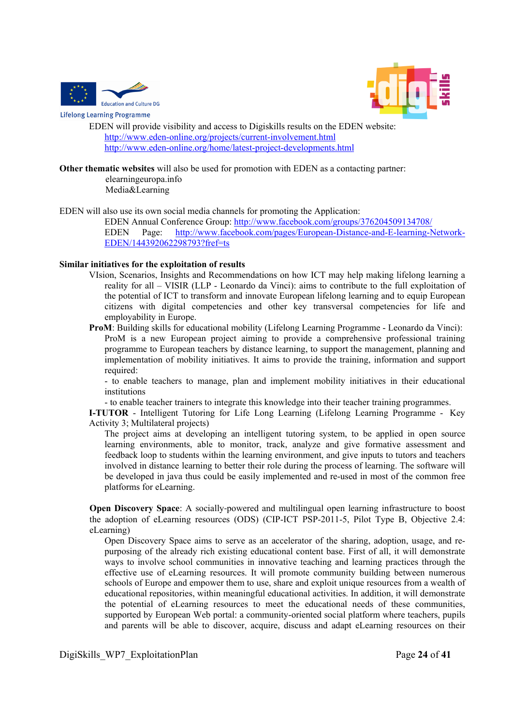

**Lifelong Learning Programme** 



EDEN will provide visibility and access to Digiskills results on the EDEN website: http://www.eden-online.org/projects/current-involvement.html http://www.eden-online.org/home/latest-project-developments.html

**Other thematic websites** will also be used for promotion with EDEN as a contacting partner: elearningeuropa.info

Media&Learning

EDEN will also use its own social media channels for promoting the Application:

EDEN Annual Conference Group: http://www.facebook.com/groups/376204509134708/ EDEN Page: http://www.facebook.com/pages/European-Distance-and-E-learning-Network-EDEN/144392062298793?fref=ts

#### **Similar initiatives for the exploitation of results**

VIsion, Scenarios, Insights and Recommendations on how ICT may help making lifelong learning a reality for all – VISIR (LLP - Leonardo da Vinci): aims to contribute to the full exploitation of the potential of ICT to transform and innovate European lifelong learning and to equip European citizens with digital competencies and other key transversal competencies for life and employability in Europe.

**ProM**: Building skills for educational mobility (Lifelong Learning Programme - Leonardo da Vinci): ProM is a new European project aiming to provide a comprehensive professional training programme to European teachers by distance learning, to support the management, planning and implementation of mobility initiatives. It aims to provide the training, information and support required:

- to enable teachers to manage, plan and implement mobility initiatives in their educational institutions

- to enable teacher trainers to integrate this knowledge into their teacher training programmes.

**I-TUTOR** - Intelligent Tutoring for Life Long Learning (Lifelong Learning Programme - Key Activity 3; Multilateral projects)

The project aims at developing an intelligent tutoring system, to be applied in open source learning environments, able to monitor, track, analyze and give formative assessment and feedback loop to students within the learning environment, and give inputs to tutors and teachers involved in distance learning to better their role during the process of learning. The software will be developed in java thus could be easily implemented and re-used in most of the common free platforms for eLearning.

**Open Discovery Space**: A socially-powered and multilingual open learning infrastructure to boost the adoption of eLearning resources (ODS) (CIP-ICT PSP-2011-5, Pilot Type B, Objective 2.4: eLearning)

Open Discovery Space aims to serve as an accelerator of the sharing, adoption, usage, and repurposing of the already rich existing educational content base. First of all, it will demonstrate ways to involve school communities in innovative teaching and learning practices through the effective use of eLearning resources. It will promote community building between numerous schools of Europe and empower them to use, share and exploit unique resources from a wealth of educational repositories, within meaningful educational activities. In addition, it will demonstrate the potential of eLearning resources to meet the educational needs of these communities, supported by European Web portal: a community-oriented social platform where teachers, pupils and parents will be able to discover, acquire, discuss and adapt eLearning resources on their

DigiSkills\_WP7\_ExploitationPlan Page **24** of **41**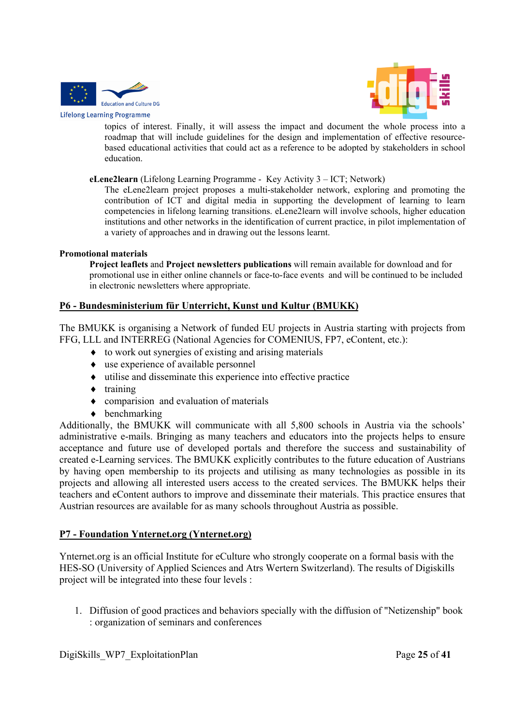



topics of interest. Finally, it will assess the impact and document the whole process into a roadmap that will include guidelines for the design and implementation of effective resourcebased educational activities that could act as a reference to be adopted by stakeholders in school education.

**eLene2learn** (Lifelong Learning Programme - Key Activity 3 – ICT; Network)

The eLene2learn project proposes a multi-stakeholder network, exploring and promoting the contribution of ICT and digital media in supporting the development of learning to learn competencies in lifelong learning transitions. eLene2learn will involve schools, higher education institutions and other networks in the identification of current practice, in pilot implementation of a variety of approaches and in drawing out the lessons learnt.

#### **Promotional materials**

**Project leaflets** and **Project newsletters publications** will remain available for download and for promotional use in either online channels or face-to-face events and will be continued to be included in electronic newsletters where appropriate.

#### **P6 - Bundesministerium für Unterricht, Kunst und Kultur (BMUKK)**

The BMUKK is organising a Network of funded EU projects in Austria starting with projects from FFG, LLL and INTERREG (National Agencies for COMENIUS, FP7, eContent, etc.):

- to work out synergies of existing and arising materials
- use experience of available personnel
- utilise and disseminate this experience into effective practice
- $\bullet$  training
- comparision and evaluation of materials
- $\bullet$  benchmarking

Additionally, the BMUKK will communicate with all 5,800 schools in Austria via the schools' administrative e-mails. Bringing as many teachers and educators into the projects helps to ensure acceptance and future use of developed portals and therefore the success and sustainability of created e-Learning services. The BMUKK explicitly contributes to the future education of Austrians by having open membership to its projects and utilising as many technologies as possible in its projects and allowing all interested users access to the created services. The BMUKK helps their teachers and eContent authors to improve and disseminate their materials. This practice ensures that Austrian resources are available for as many schools throughout Austria as possible.

#### **P7 - Foundation Ynternet.org (Ynternet.org)**

Ynternet.org is an official Institute for eCulture who strongly cooperate on a formal basis with the HES-SO (University of Applied Sciences and Atrs Wertern Switzerland). The results of Digiskills project will be integrated into these four levels :

1. Diffusion of good practices and behaviors specially with the diffusion of "Netizenship" book : organization of seminars and conferences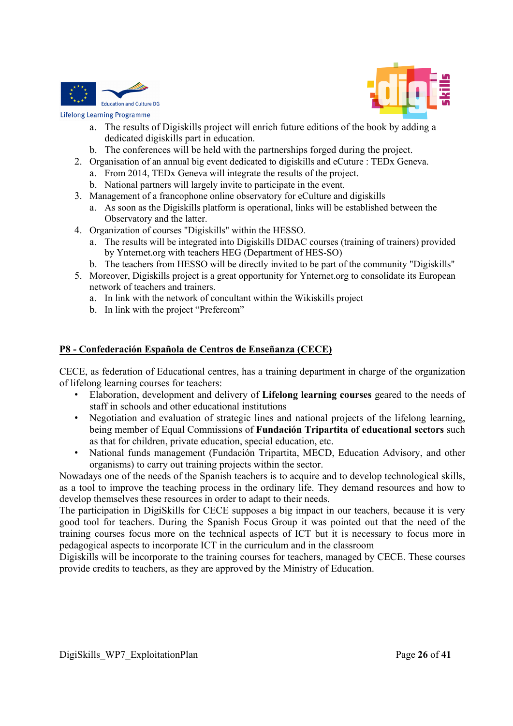



- a. The results of Digiskills project will enrich future editions of the book by adding a dedicated digiskills part in education.
- b. The conferences will be held with the partnerships forged during the project.
- 2. Organisation of an annual big event dedicated to digiskills and eCuture : TEDx Geneva.
	- a. From 2014, TEDx Geneva will integrate the results of the project.
	- b. National partners will largely invite to participate in the event.
- 3. Management of a francophone online observatory for eCulture and digiskills
	- a. As soon as the Digiskills platform is operational, links will be established between the Observatory and the latter.
- 4. Organization of courses "Digiskills" within the HESSO.
	- a. The results will be integrated into Digiskills DIDAC courses (training of trainers) provided by Ynternet.org with teachers HEG (Department of HES-SO)
	- b. The teachers from HESSO will be directly invited to be part of the community "Digiskills"
- 5. Moreover, Digiskills project is a great opportunity for Ynternet.org to consolidate its European network of teachers and trainers.
	- a. In link with the network of concultant within the Wikiskills project
	- b. In link with the project "Prefercom"

#### **P8 - Confederación Española de Centros de Enseñanza (CECE)**

CECE, as federation of Educational centres, has a training department in charge of the organization of lifelong learning courses for teachers:

- Elaboration, development and delivery of **Lifelong learning courses** geared to the needs of staff in schools and other educational institutions
- Negotiation and evaluation of strategic lines and national projects of the lifelong learning, being member of Equal Commissions of **Fundación Tripartita of educational sectors** such as that for children, private education, special education, etc.
- National funds management (Fundación Tripartita, MECD, Education Advisory, and other organisms) to carry out training projects within the sector.

Nowadays one of the needs of the Spanish teachers is to acquire and to develop technological skills, as a tool to improve the teaching process in the ordinary life. They demand resources and how to develop themselves these resources in order to adapt to their needs.

The participation in DigiSkills for CECE supposes a big impact in our teachers, because it is very good tool for teachers. During the Spanish Focus Group it was pointed out that the need of the training courses focus more on the technical aspects of ICT but it is necessary to focus more in pedagogical aspects to incorporate ICT in the curriculum and in the classroom

Digiskills will be incorporate to the training courses for teachers, managed by CECE. These courses provide credits to teachers, as they are approved by the Ministry of Education.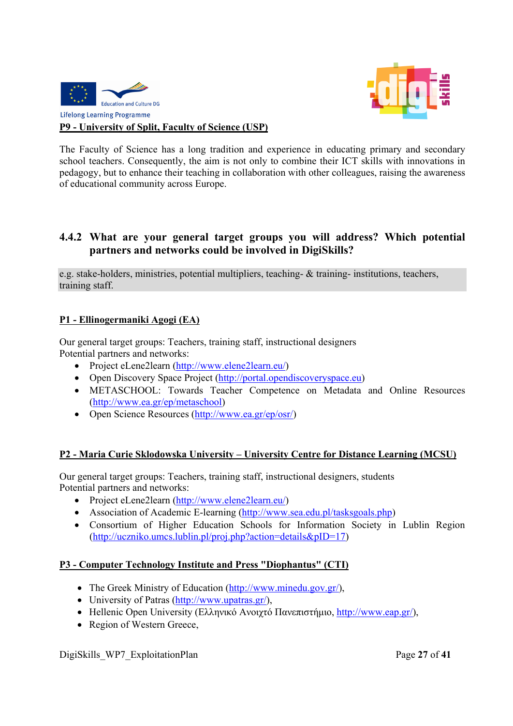



## **P9 - University of Split, Faculty of Science (USP)**

The Faculty of Science has a long tradition and experience in educating primary and secondary school teachers. Consequently, the aim is not only to combine their ICT skills with innovations in pedagogy, but to enhance their teaching in collaboration with other colleagues, raising the awareness of educational community across Europe.

## **4.4.2 What are your general target groups you will address? Which potential partners and networks could be involved in DigiSkills?**

e.g. stake-holders, ministries, potential multipliers, teaching- & training- institutions, teachers, training staff.

#### **P1 - Ellinogermaniki Agogi (EA)**

Our general target groups: Teachers, training staff, instructional designers Potential partners and networks:

- Project eLene2learn (http://www.elene2learn.eu/)
- Open Discovery Space Project (http://portal.opendiscoveryspace.eu)
- METASCHOOL: Towards Teacher Competence on Metadata and Online Resources (http://www.ea.gr/ep/metaschool)
- Open Science Resources (http://www.ea.gr/ep/osr/)

#### **P2 - Maria Curie Sklodowska University – University Centre for Distance Learning (MCSU)**

Our general target groups: Teachers, training staff, instructional designers, students Potential partners and networks:

- Project eLene2learn (http://www.elene2learn.eu/)
- Association of Academic E-learning (http://www.sea.edu.pl/tasksgoals.php)
- Consortium of Higher Education Schools for Information Society in Lublin Region (http://uczniko.umcs.lublin.pl/proj.php?action=details&pID=17)

#### **P3 - Computer Technology Institute and Press "Diophantus" (CTI)**

- The Greek Ministry of Education (http://www.minedu.gov.gr/),
- University of Patras (http://www.upatras.gr/),
- Hellenic Open University (Ελληνικό Ανοιγτό Πανεπιστήμιο, http://www.eap.gr/),
- Region of Western Greece,

DigiSkills\_WP7\_ExploitationPlan Page **27** of **41**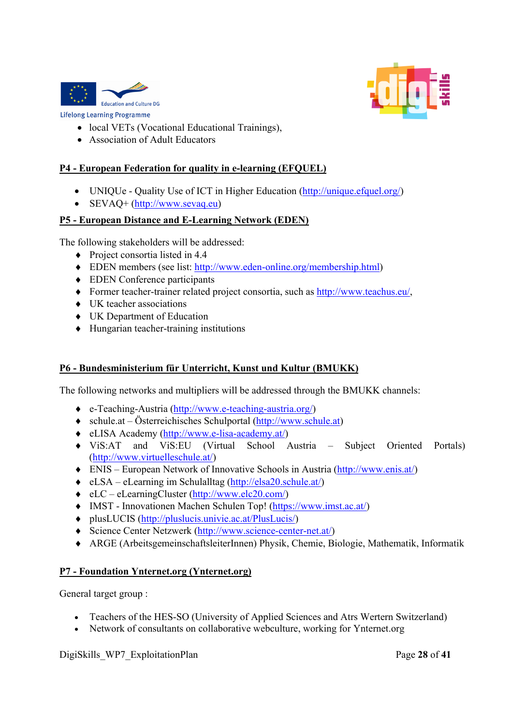



- local VETs (Vocational Educational Trainings),
- Association of Adult Educators

#### **P4 - European Federation for quality in e-learning (EFQUEL)**

- UNIQUe Quality Use of ICT in Higher Education (http://unique.efquel.org/)
- SEVAQ+ (http://www.sevaq.eu)

#### **P5 - European Distance and E-Learning Network (EDEN)**

The following stakeholders will be addressed:

- Project consortia listed in 4.4
- EDEN members (see list: http://www.eden-online.org/membership.html)
- ◆ EDEN Conference participants
- Former teacher-trainer related project consortia, such as http://www.teachus.eu/,
- UK teacher associations
- UK Department of Education
- Hungarian teacher-training institutions

### **P6 - Bundesministerium für Unterricht, Kunst und Kultur (BMUKK)**

The following networks and multipliers will be addressed through the BMUKK channels:

- e-Teaching-Austria (http://www.e-teaching-austria.org/)
- schule.at Österreichisches Schulportal (http://www.schule.at)
- eLISA Academy (http://www.e-lisa-academy.at/)
- ViS:AT and ViS:EU (Virtual School Austria Subject Oriented Portals) (http://www.virtuelleschule.at/)
- ENIS European Network of Innovative Schools in Austria (http://www.enis.at/)
- eLSA eLearning im Schulalltag (http://elsa20.schule.at/)
- eLC eLearningCluster (http://www.elc20.com/)
- IMST Innovationen Machen Schulen Top! (https://www.imst.ac.at/)
- plusLUCIS (http://pluslucis.univie.ac.at/PlusLucis/)
- Science Center Netzwerk (http://www.science-center-net.at/)
- ARGE (ArbeitsgemeinschaftsleiterInnen) Physik, Chemie, Biologie, Mathematik, Informatik

## **P7 - Foundation Ynternet.org (Ynternet.org)**

General target group :

- Teachers of the HES-SO (University of Applied Sciences and Atrs Wertern Switzerland)
- Network of consultants on collaborative webculture, working for Ynternet.org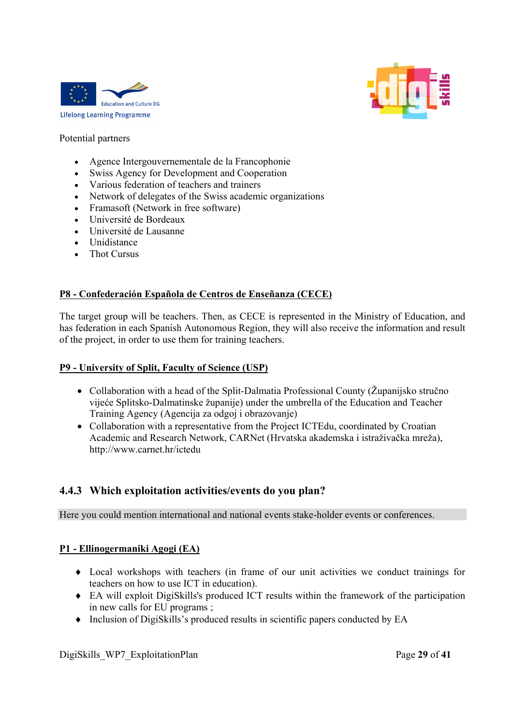



#### Potential partners

- Agence Intergouvernementale de la Francophonie
- Swiss Agency for Development and Cooperation
- Various federation of teachers and trainers
- Network of delegates of the Swiss academic organizations
- Framasoft (Network in free software)
- Université de Bordeaux
- Université de Lausanne
- Unidistance
- Thot Cursus

#### **P8 - Confederación Española de Centros de Enseñanza (CECE)**

The target group will be teachers. Then, as CECE is represented in the Ministry of Education, and has federation in each Spanish Autonomous Region, they will also receive the information and result of the project, in order to use them for training teachers.

#### **P9 - University of Split, Faculty of Science (USP)**

- Collaboration with a head of the Split-Dalmatia Professional County (Županijsko stručno vijeće Splitsko-Dalmatinske županije) under the umbrella of the Education and Teacher Training Agency (Agencija za odgoj i obrazovanje)
- Collaboration with a representative from the Project ICTEdu, coordinated by Croatian Academic and Research Network, CARNet (Hrvatska akademska i istraživačka mreža), http://www.carnet.hr/ictedu

## **4.4.3 Which exploitation activities/events do you plan?**

Here you could mention international and national events stake-holder events or conferences.

#### **P1 - Ellinogermaniki Agogi (EA)**

- Local workshops with teachers (in frame of our unit activities we conduct trainings for teachers on how to use ICT in education).
- EA will exploit DigiSkills's produced ICT results within the framework of the participation in new calls for EU programs ;
- Inclusion of DigiSkills's produced results in scientific papers conducted by EA

DigiSkills\_WP7\_ExploitationPlan Page **29** of **41**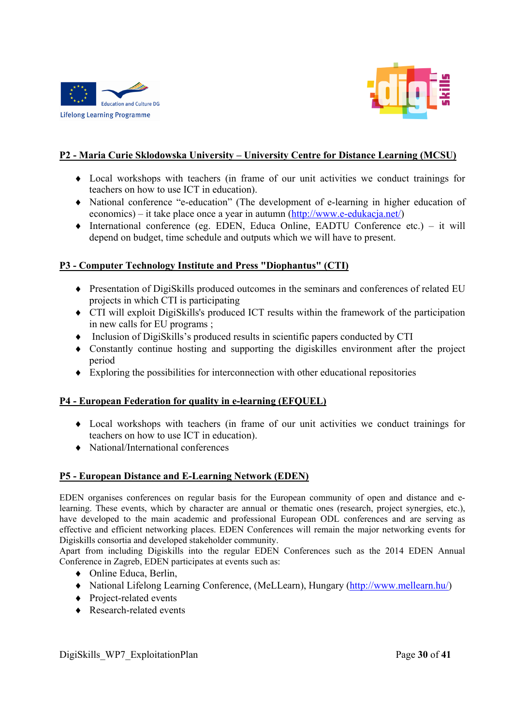



### **P2 - Maria Curie Sklodowska University – University Centre for Distance Learning (MCSU)**

- Local workshops with teachers (in frame of our unit activities we conduct trainings for teachers on how to use ICT in education).
- National conference "e-education" (The development of e-learning in higher education of economics) – it take place once a year in autumn (http://www.e-edukacja.net/)
- International conference (eg. EDEN, Educa Online, EADTU Conference etc.) it will depend on budget, time schedule and outputs which we will have to present.

#### **P3 - Computer Technology Institute and Press "Diophantus" (CTI)**

- Presentation of DigiSkills produced outcomes in the seminars and conferences of related EU projects in which CTI is participating
- CTI will exploit DigiSkills's produced ICT results within the framework of the participation in new calls for EU programs ;
- Inclusion of DigiSkills's produced results in scientific papers conducted by CTI
- Constantly continue hosting and supporting the digiskilles environment after the project period
- Exploring the possibilities for interconnection with other educational repositories

#### **P4 - European Federation for quality in e-learning (EFQUEL)**

- Local workshops with teachers (in frame of our unit activities we conduct trainings for teachers on how to use ICT in education).
- National/International conferences

#### **P5 - European Distance and E-Learning Network (EDEN)**

EDEN organises conferences on regular basis for the European community of open and distance and elearning. These events, which by character are annual or thematic ones (research, project synergies, etc.), have developed to the main academic and professional European ODL conferences and are serving as effective and efficient networking places. EDEN Conferences will remain the major networking events for Digiskills consortia and developed stakeholder community.

Apart from including Digiskills into the regular EDEN Conferences such as the 2014 EDEN Annual Conference in Zagreb, EDEN participates at events such as:

- ◆ Online Educa, Berlin,
- National Lifelong Learning Conference, (MeLLearn), Hungary (http://www.mellearn.hu/)
- Project-related events
- ◆ Research-related events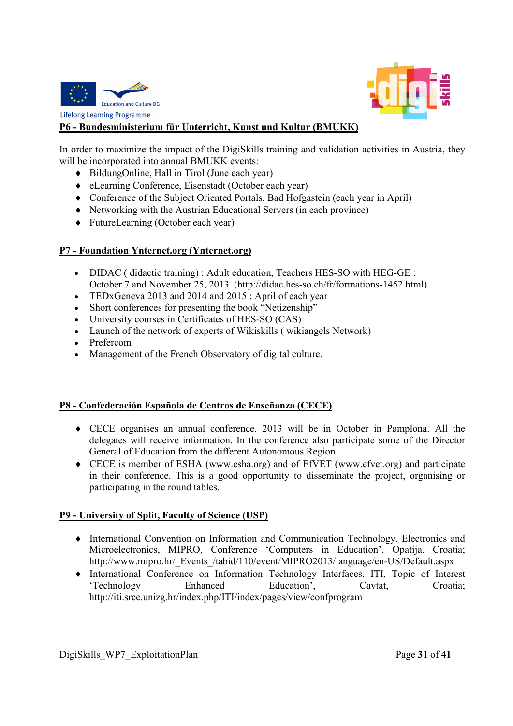



#### **P6 - Bundesministerium für Unterricht, Kunst und Kultur (BMUKK)**

In order to maximize the impact of the DigiSkills training and validation activities in Austria, they will be incorporated into annual BMUKK events:

- BildungOnline, Hall in Tirol (June each year)
- eLearning Conference, Eisenstadt (October each year)
- Conference of the Subject Oriented Portals, Bad Hofgastein (each year in April)
- Networking with the Austrian Educational Servers (in each province)
- ◆ FutureLearning (October each year)

#### **P7 - Foundation Ynternet.org (Ynternet.org)**

- DIDAC ( didactic training) : Adult education, Teachers HES-SO with HEG-GE : October 7 and November 25, 2013 (http://didac.hes-so.ch/fr/formations-1452.html)
- TEDxGeneva 2013 and 2014 and 2015 : April of each year
- Short conferences for presenting the book "Netizenship"
- University courses in Certificates of HES-SO (CAS)
- Launch of the network of experts of Wikiskills ( wikiangels Network)
- Prefercom
- Management of the French Observatory of digital culture.

#### **P8 - Confederación Española de Centros de Enseñanza (CECE)**

- CECE organises an annual conference. 2013 will be in October in Pamplona. All the delegates will receive information. In the conference also participate some of the Director General of Education from the different Autonomous Region.
- CECE is member of ESHA (www.esha.org) and of EfVET (www.efvet.org) and participate in their conference. This is a good opportunity to disseminate the project, organising or participating in the round tables.

#### **P9 - University of Split, Faculty of Science (USP)**

- International Convention on Information and Communication Technology, Electronics and Microelectronics, MIPRO, Conference 'Computers in Education', Opatija, Croatia; http://www.mipro.hr/\_Events\_/tabid/110/event/MIPRO2013/language/en-US/Default.aspx
- International Conference on Information Technology Interfaces, ITI, Topic of Interest 'Technology Enhanced Education', Cavtat, Croatia; http://iti.srce.unizg.hr/index.php/ITI/index/pages/view/confprogram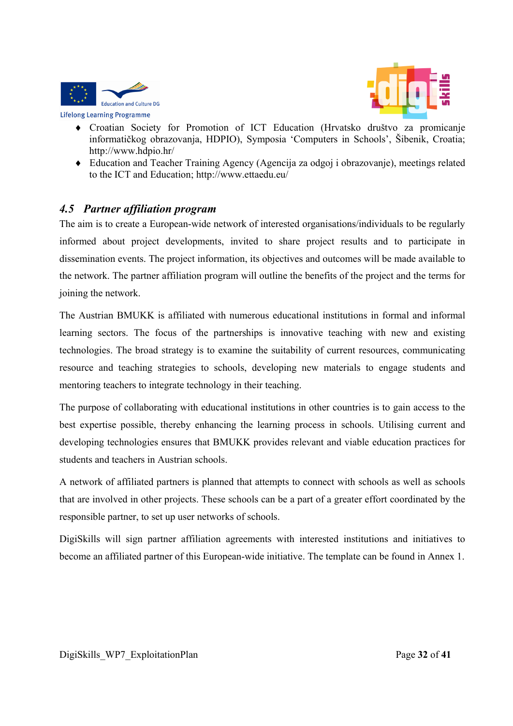



- Croatian Society for Promotion of ICT Education (Hrvatsko društvo za promicanje informatičkog obrazovanja, HDPIO), Symposia 'Computers in Schools', Šibenik, Croatia; http://www.hdpio.hr/
- Education and Teacher Training Agency (Agencija za odgoj i obrazovanje), meetings related to the ICT and Education; http://www.ettaedu.eu/

## *4.5 Partner affiliation program*

The aim is to create a European-wide network of interested organisations/individuals to be regularly informed about project developments, invited to share project results and to participate in dissemination events. The project information, its objectives and outcomes will be made available to the network. The partner affiliation program will outline the benefits of the project and the terms for joining the network.

The Austrian BMUKK is affiliated with numerous educational institutions in formal and informal learning sectors. The focus of the partnerships is innovative teaching with new and existing technologies. The broad strategy is to examine the suitability of current resources, communicating resource and teaching strategies to schools, developing new materials to engage students and mentoring teachers to integrate technology in their teaching.

The purpose of collaborating with educational institutions in other countries is to gain access to the best expertise possible, thereby enhancing the learning process in schools. Utilising current and developing technologies ensures that BMUKK provides relevant and viable education practices for students and teachers in Austrian schools.

A network of affiliated partners is planned that attempts to connect with schools as well as schools that are involved in other projects. These schools can be a part of a greater effort coordinated by the responsible partner, to set up user networks of schools.

DigiSkills will sign partner affiliation agreements with interested institutions and initiatives to become an affiliated partner of this European-wide initiative. The template can be found in Annex 1.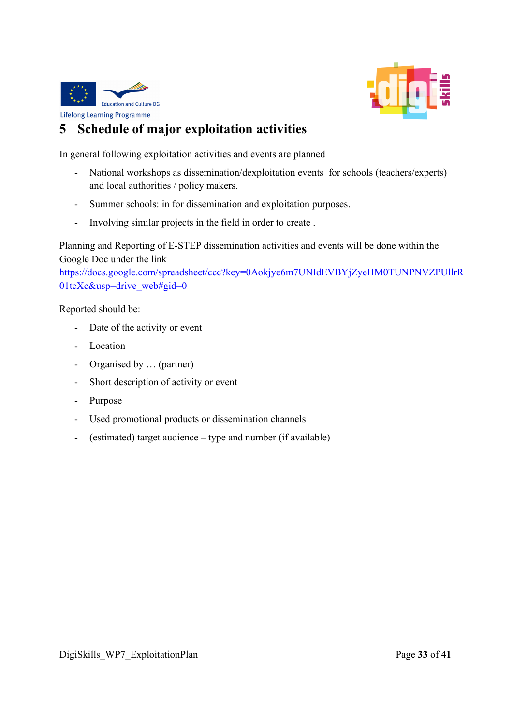



# **5 Schedule of major exploitation activities**

In general following exploitation activities and events are planned

- National workshops as dissemination/dexploitation events for schools (teachers/experts) and local authorities / policy makers.
- Summer schools: in for dissemination and exploitation purposes.
- Involving similar projects in the field in order to create .

Planning and Reporting of E-STEP dissemination activities and events will be done within the Google Doc under the link

https://docs.google.com/spreadsheet/ccc?key=0Aokjye6m7UNIdEVBYjZyeHM0TUNPNVZPUllrR 01tcXc&usp=drive\_web#gid=0

Reported should be:

- Date of the activity or event
- Location
- Organised by … (partner)
- Short description of activity or event
- Purpose
- Used promotional products or dissemination channels
- (estimated) target audience type and number (if available)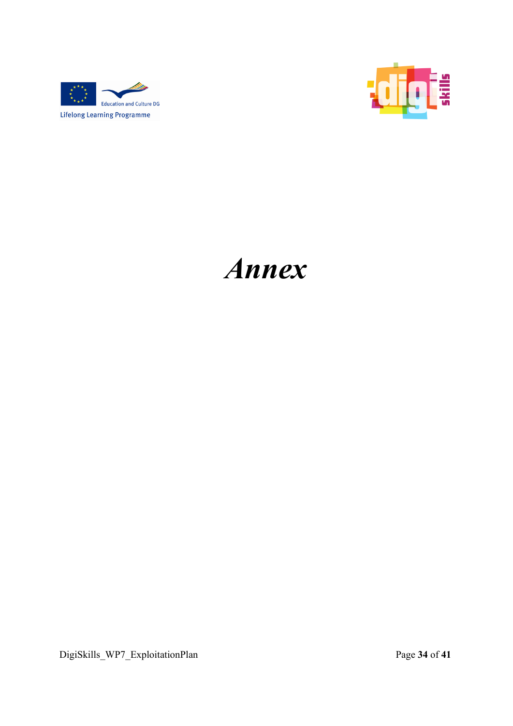



# *Annex*

DigiSkills\_WP7\_ExploitationPlan Page **34** of **41**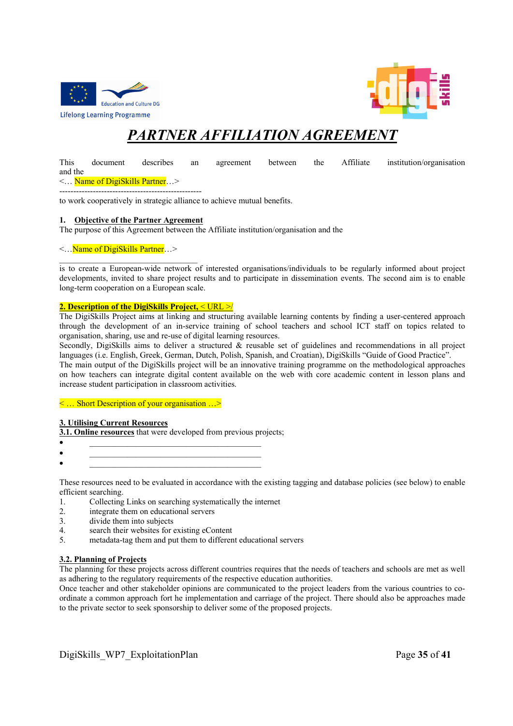



# *PARTNER AFFILIATION AGREEMENT*

This document describes an agreement between the Affiliate institution/organisation and the

<… Name of DigiSkills Partner…> ---------------------------------------------------

to work cooperatively in strategic alliance to achieve mutual benefits.

#### **1. Objective of the Partner Agreement**

The purpose of this Agreement between the Affiliate institution/organisation and the

#### <…Name of DigiSkills Partner…>

is to create a European-wide network of interested organisations/individuals to be regularly informed about project developments, invited to share project results and to participate in dissemination events. The second aim is to enable long-term cooperation on a European scale.

#### **2. Description of the DigiSkills Project,** < URL >/

The DigiSkills Project aims at linking and structuring available learning contents by finding a user-centered approach through the development of an in-service training of school teachers and school ICT staff on topics related to organisation, sharing, use and re-use of digital learning resources.

Secondly, DigiSkills aims to deliver a structured  $\&$  reusable set of guidelines and recommendations in all project languages (i.e. English, Greek, German, Dutch, Polish, Spanish, and Croatian), DigiSkills "Guide of Good Practice". The main output of the DigiSkills project will be an innovative training programme on the methodological approaches

on how teachers can integrate digital content available on the web with core academic content in lesson plans and increase student participation in classroom activities.

< … Short Description of your organisation …>

#### **3. Utilising Current Resources**

**3.1. Online resources** that were developed from previous projects;

- \_\_\_\_\_\_\_\_\_\_\_\_\_\_\_\_\_\_\_\_\_\_\_\_\_\_\_\_\_\_\_\_\_\_\_\_\_\_\_\_\_  $\bullet$  , and the contract of the contract of the contract of the contract of the contract of the contract of the contract of the contract of the contract of the contract of the contract of the contract of the contract of th
- $\bullet$  , and the contract of the contract of the contract of the contract of the contract of the contract of the contract of the contract of the contract of the contract of the contract of the contract of the contract of th

These resources need to be evaluated in accordance with the existing tagging and database policies (see below) to enable efficient searching.

- 1. Collecting Links on searching systematically the internet
- 2. integrate them on educational servers
- 3. divide them into subjects
- 4. search their websites for existing eContent
- 5. metadata-tag them and put them to different educational servers

#### **3.2. Planning of Projects**

The planning for these projects across different countries requires that the needs of teachers and schools are met as well as adhering to the regulatory requirements of the respective education authorities.

Once teacher and other stakeholder opinions are communicated to the project leaders from the various countries to coordinate a common approach fort he implementation and carriage of the project. There should also be approaches made to the private sector to seek sponsorship to deliver some of the proposed projects.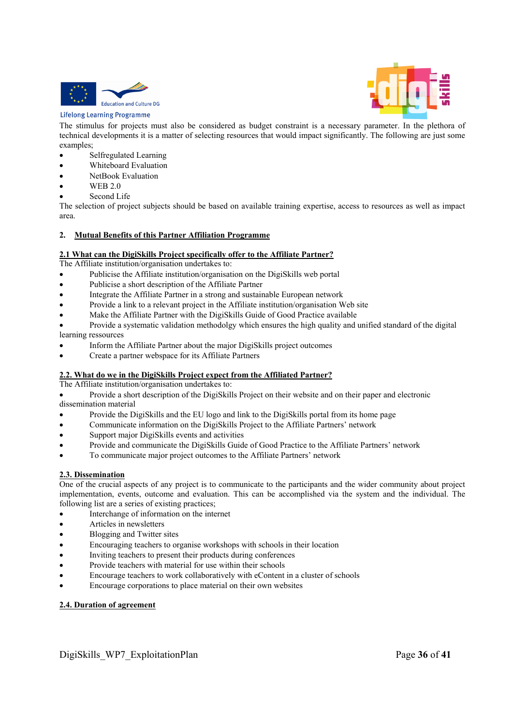

#### **Lifelong Learning Programme**



The stimulus for projects must also be considered as budget constraint is a necessary parameter. In the plethora of technical developments it is a matter of selecting resources that would impact significantly. The following are just some examples;

- Selfregulated Learning
- Whiteboard Evaluation
- NetBook Evaluation
- WEB 2.0
- Second Life

The selection of project subjects should be based on available training expertise, access to resources as well as impact area.

#### **2. Mutual Benefits of this Partner Affiliation Programme**

#### **2.1 What can the DigiSkills Project specifically offer to the Affiliate Partner?**

The Affiliate institution/organisation undertakes to:

- Publicise the Affiliate institution/organisation on the DigiSkills web portal
- Publicise a short description of the Affiliate Partner
- Integrate the Affiliate Partner in a strong and sustainable European network
- Provide a link to a relevant project in the Affiliate institution/organisation Web site
- Make the Affiliate Partner with the DigiSkills Guide of Good Practice available
- Provide a systematic validation methodolgy which ensures the high quality and unified standard of the digital learning ressources
- Inform the Affiliate Partner about the major DigiSkills project outcomes
- Create a partner webspace for its Affiliate Partners

#### **2.2. What do we in the DigiSkills Project expect from the Affiliated Partner?**

The Affiliate institution/organisation undertakes to:

 Provide a short description of the DigiSkills Project on their website and on their paper and electronic dissemination material

- Provide the DigiSkills and the EU logo and link to the DigiSkills portal from its home page
- Communicate information on the DigiSkills Project to the Affiliate Partners' network
- Support major DigiSkills events and activities
- Provide and communicate the DigiSkills Guide of Good Practice to the Affiliate Partners' network
- To communicate major project outcomes to the Affiliate Partners' network

#### **2.3. Dissemination**

One of the crucial aspects of any project is to communicate to the participants and the wider community about project implementation, events, outcome and evaluation. This can be accomplished via the system and the individual. The following list are a series of existing practices;

- Interchange of information on the internet
- Articles in newsletters
- Blogging and Twitter sites
- Encouraging teachers to organise workshops with schools in their location
- Inviting teachers to present their products during conferences
- Provide teachers with material for use within their schools
- Encourage teachers to work collaboratively with eContent in a cluster of schools
- Encourage corporations to place material on their own websites

#### **2.4. Duration of agreement**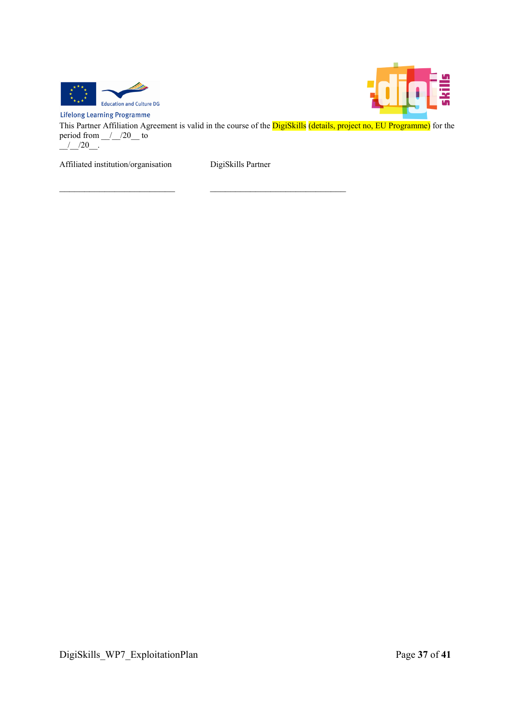



**Lifelong Learning Programme** This Partner Affiliation Agreement is valid in the course of the DigiSkills (details, project no, EU Programme) for the period from  $\frac{1}{20}$  to  $\frac{1}{2}$  / 20

Affiliated institution/organisation DigiSkills Partner

 $\mathcal{L}_\text{max}$  and the contract of the contract of the contract of the contract of the contract of the contract of the contract of the contract of the contract of the contract of the contract of the contract of the contrac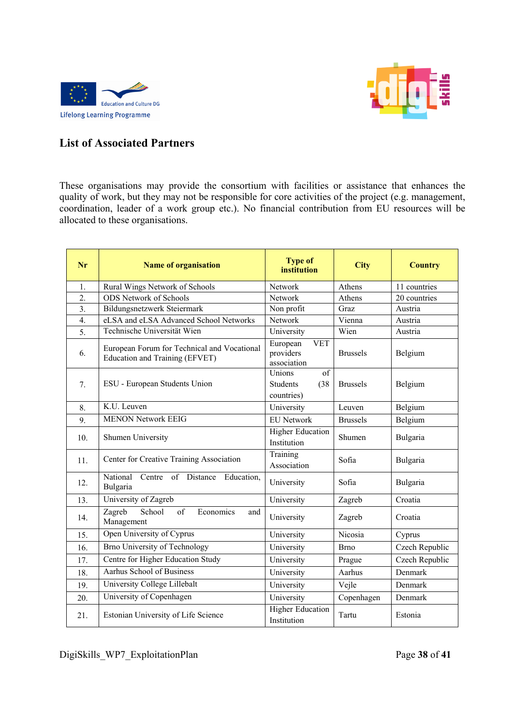



## **List of Associated Partners**

These organisations may provide the consortium with facilities or assistance that enhances the quality of work, but they may not be responsible for core activities of the project (e.g. management, coordination, leader of a work group etc.). No financial contribution from EU resources will be allocated to these organisations.

| Nr               | <b>Name of organisation</b>                                                   | <b>Type of</b><br>institution                         | <b>City</b>     | <b>Country</b> |
|------------------|-------------------------------------------------------------------------------|-------------------------------------------------------|-----------------|----------------|
| 1.               | Rural Wings Network of Schools                                                | Network                                               | Athens          | 11 countries   |
| $\overline{2}$ . | <b>ODS</b> Network of Schools                                                 | Network                                               | Athens          | 20 countries   |
| $\overline{3}$ . | Bildungsnetzwerk Steiermark                                                   | Non profit                                            | Graz            | Austria        |
| $\overline{4}$ . | eLSA and eLSA Advanced School Networks                                        | Network                                               | Vienna          | Austria        |
| 5.               | Technische Universität Wien                                                   | University                                            | Wien            | Austria        |
| 6.               | European Forum for Technical and Vocational<br>Education and Training (EFVET) | <b>VET</b><br>European<br>providers<br>association    | <b>Brussels</b> | Belgium        |
| 7.               | ESU - European Students Union                                                 | Unions<br>of<br>(38)<br><b>Students</b><br>countries) | <b>Brussels</b> | Belgium        |
| 8.               | K.U. Leuven                                                                   | University                                            | Leuven          | Belgium        |
| 9.               | <b>MENON Network EEIG</b>                                                     | <b>EU Network</b>                                     | <b>Brussels</b> | Belgium        |
| 10.              | Shumen University                                                             | <b>Higher Education</b><br>Institution                | Shumen          | Bulgaria       |
| 11.              | Center for Creative Training Association                                      | Training<br>Association                               | Sofia           | Bulgaria       |
| 12.              | of Distance<br>National<br>Education,<br>Centre<br>Bulgaria                   | University                                            | Sofia           | Bulgaria       |
| 13.              | University of Zagreb                                                          | University                                            | Zagreb          | Croatia        |
| 14.              | Zagreb<br>School<br>of<br>Economics<br>and<br>Management                      | University                                            | Zagreb          | Croatia        |
| 15.              | Open University of Cyprus                                                     | University                                            | Nicosia         | Cyprus         |
| 16.              | Brno University of Technology                                                 | University                                            | <b>Brno</b>     | Czech Republic |
| 17.              | Centre for Higher Education Study                                             | University                                            | Prague          | Czech Republic |
| 18.              | <b>Aarhus School of Business</b>                                              | University                                            | Aarhus          | Denmark        |
| 19.              | University College Lillebalt                                                  | University                                            | Vejle           | Denmark        |
| 20.              | University of Copenhagen                                                      | University                                            | Copenhagen      | Denmark        |
| 21.              | Estonian University of Life Science                                           | <b>Higher Education</b><br>Institution                | Tartu           | Estonia        |

DigiSkills\_WP7\_ExploitationPlan Page **38** of **41**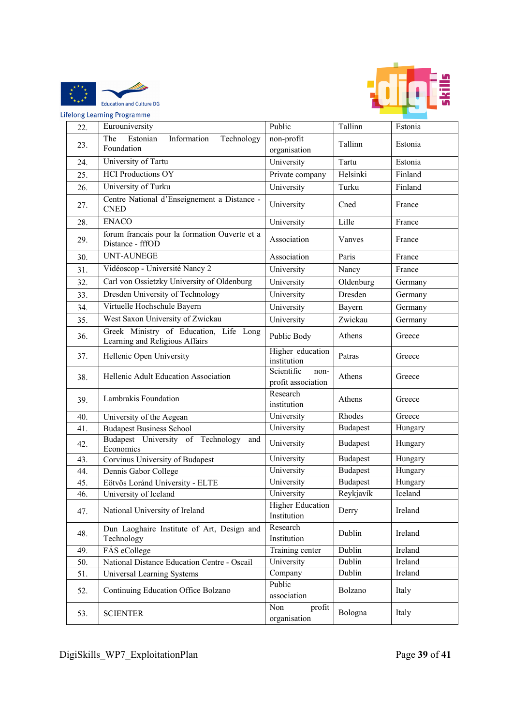



| <b>IC</b><br><b>Lifelong Learning Programme</b> |     |                                                                          |                                          |                 |         |
|-------------------------------------------------|-----|--------------------------------------------------------------------------|------------------------------------------|-----------------|---------|
|                                                 | 22. | Eurouniversity                                                           | Public                                   | Tallinn         | Estonia |
|                                                 | 23. | The<br>Estonian<br>Information<br>Technology<br>Foundation               | non-profit<br>organisation               | Tallinn         | Estonia |
|                                                 | 24. | University of Tartu                                                      | University                               | Tartu           | Estonia |
|                                                 | 25. | <b>HCI Productions OY</b>                                                | Private company                          | Helsinki        | Finland |
|                                                 | 26. | University of Turku                                                      | University                               | Turku           | Finland |
|                                                 | 27. | Centre National d'Enseignement a Distance -<br><b>CNED</b>               | University                               | Cned            | France  |
|                                                 | 28. | <b>ENACO</b>                                                             | University                               | Lille           | France  |
|                                                 | 29. | forum francais pour la formation Ouverte et a<br>Distance - fffOD        | Association                              | Vanves          | France  |
|                                                 | 30. | <b>UNT-AUNEGE</b>                                                        | Association                              | Paris           | France  |
|                                                 | 31. | Vidéoscop - Université Nancy 2                                           | University                               | Nancy           | France  |
|                                                 | 32. | Carl von Ossietzky University of Oldenburg                               | University                               | Oldenburg       | Germany |
|                                                 | 33. | Dresden University of Technology                                         | University                               | Dresden         | Germany |
|                                                 | 34. | Virtuelle Hochschule Bayern                                              | University                               | Bayern          | Germany |
|                                                 | 35. | West Saxon University of Zwickau                                         | University                               | Zwickau         | Germany |
|                                                 | 36. | Greek Ministry of Education, Life Long<br>Learning and Religious Affairs | Public Body                              | Athens          | Greece  |
|                                                 | 37. | Hellenic Open University                                                 | Higher education<br>institution          | Patras          | Greece  |
|                                                 | 38. | Hellenic Adult Education Association                                     | Scientific<br>non-<br>profit association | Athens          | Greece  |
|                                                 | 39. | Lambrakis Foundation                                                     | Research<br>institution                  | Athens          | Greece  |
|                                                 | 40. | University of the Aegean                                                 | University                               | Rhodes          | Greece  |
|                                                 | 41. | <b>Budapest Business School</b>                                          | University                               | <b>Budapest</b> | Hungary |
|                                                 | 42. | Budapest University of Technology<br>and<br>Economics                    | University                               | <b>Budapest</b> | Hungary |
|                                                 | 43. | Corvinus University of Budapest                                          | University                               | <b>Budapest</b> | Hungary |
|                                                 | 44. | Dennis Gabor College                                                     | University                               | <b>Budapest</b> | Hungary |
|                                                 | 45. | Eötvös Loránd University - ELTE                                          | University                               | <b>Budapest</b> | Hungary |
|                                                 | 46. | University of Iceland                                                    | University                               | Reykjavík       | Iceland |
|                                                 | 47. | National University of Ireland                                           | <b>Higher Education</b><br>Institution   | Derry           | Ireland |
|                                                 | 48. | Dun Laoghaire Institute of Art, Design and<br>Technology                 | Research<br>Institution                  | Dublin          | Ireland |
|                                                 | 49. | FÁS eCollege                                                             | Training center                          | Dublin          | Ireland |
|                                                 | 50. | National Distance Education Centre - Oscail                              | University                               | Dublin          | Ireland |
|                                                 | 51. | Universal Learning Systems                                               | Company                                  | Dublin          | Ireland |
|                                                 | 52. | Continuing Education Office Bolzano                                      | Public<br>association                    | Bolzano         | Italy   |
|                                                 | 53. | <b>SCIENTER</b>                                                          | Non<br>profit<br>organisation            | Bologna         | Italy   |

DigiSkills\_WP7\_ExploitationPlan Page **39** of **41**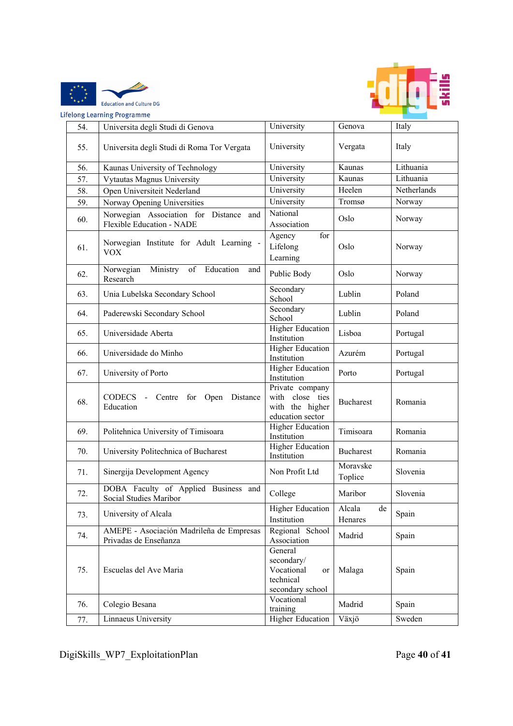



| ifelong Learning Programme |                                                                            |                                                                            |                         |             |  |  |
|----------------------------|----------------------------------------------------------------------------|----------------------------------------------------------------------------|-------------------------|-------------|--|--|
| 54.                        | Universita degli Studi di Genova                                           | University                                                                 | Genova                  | Italy       |  |  |
| 55.                        | Universita degli Studi di Roma Tor Vergata                                 | University                                                                 | Vergata                 | Italy       |  |  |
| 56.                        | Kaunas University of Technology                                            | University                                                                 | Kaunas                  | Lithuania   |  |  |
| 57.                        | Vytautas Magnus University                                                 | University                                                                 | Kaunas                  | Lithuania   |  |  |
| 58.                        | Open Universiteit Nederland                                                | University                                                                 | Heelen                  | Netherlands |  |  |
| 59.                        | Norway Opening Universities                                                | University                                                                 | Tromsø                  | Norway      |  |  |
| 60.                        | Norwegian Association for Distance and<br><b>Flexible Education - NADE</b> | National<br>Association                                                    | Oslo                    | Norway      |  |  |
| 61.                        | Norwegian Institute for Adult Learning -<br><b>VOX</b>                     | for<br>Agency<br>Lifelong<br>Learning                                      | Oslo                    | Norway      |  |  |
| 62.                        | Norwegian<br>Ministry<br>Education<br>of<br>and<br>Research                | Public Body                                                                | Oslo                    | Norway      |  |  |
| 63.                        | Unia Lubelska Secondary School                                             | Secondary<br>School                                                        | Lublin                  | Poland      |  |  |
| 64.                        | Paderewski Secondary School                                                | Secondary<br>School                                                        | Lublin                  | Poland      |  |  |
| 65.                        | Universidade Aberta                                                        | <b>Higher Education</b><br>Institution                                     | Lisboa                  | Portugal    |  |  |
| 66.                        | Universidade do Minho                                                      | <b>Higher Education</b><br>Institution                                     | Azurém                  | Portugal    |  |  |
| 67.                        | University of Porto                                                        | <b>Higher Education</b><br>Institution                                     | Porto                   | Portugal    |  |  |
| 68.                        | <b>CODECS</b><br>- Centre for Open<br>Distance<br>Education                | Private company<br>with close ties<br>with the higher<br>education sector  | <b>Bucharest</b>        | Romania     |  |  |
| 69.                        | Politehnica University of Timisoara                                        | <b>Higher Education</b><br>Institution                                     | Timisoara               | Romania     |  |  |
| 70.                        | University Politechnica of Bucharest                                       | <b>Higher Education</b><br>Institution                                     | <b>Bucharest</b>        | Romania     |  |  |
| 71.                        | Sinergija Development Agency                                               | Non Profit Ltd                                                             | Moravske<br>Toplice     | Slovenia    |  |  |
| 72.                        | DOBA Faculty of Applied Business and<br>Social Studies Maribor             | College                                                                    | Maribor                 | Slovenia    |  |  |
| 73.                        | University of Alcala                                                       | <b>Higher Education</b><br>Institution                                     | Alcala<br>de<br>Henares | Spain       |  |  |
| 74.                        | AMEPE - Asociación Madrileña de Empresas<br>Privadas de Enseñanza          | Regional School<br>Association                                             | Madrid                  | Spain       |  |  |
| 75.                        | Escuelas del Ave Maria                                                     | General<br>secondary/<br>Vocational<br>or<br>technical<br>secondary school | Malaga                  | Spain       |  |  |
| 76.                        | Colegio Besana                                                             | Vocational<br>training                                                     | Madrid                  | Spain       |  |  |
| 77.                        | Linnaeus University                                                        | <b>Higher Education</b>                                                    | Växjö                   | Sweden      |  |  |

DigiSkills\_WP7\_ExploitationPlan Page **40** of **41**